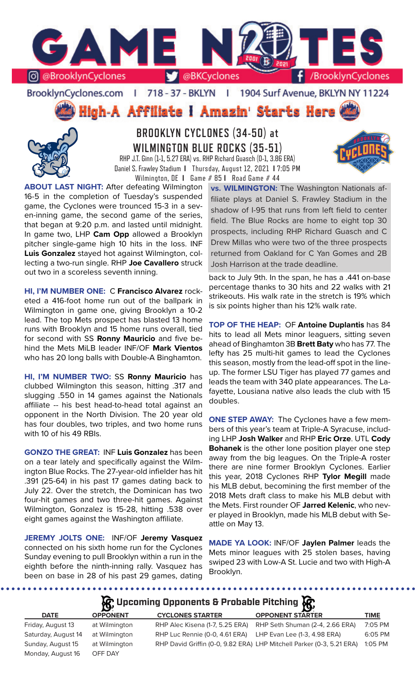

BrooklynCyclones.com | 718 - 37 - BKLYN | 1904 Surf Avenue, BKLYN NY 11224

High-A Affiliate I Amazin' Starts Here



**BROOKLYN CYCLONES (34-50) at WILMINGTON BLUE ROCKS (35-51)** RHP J.T. Ginn (1-1, 5.27 ERA) vs. RHP Richard Guasch (0-1, 3.86 ERA) Daniel S. Frawley Stadium **I** Thursday, August 12, 2021 **I** 7:05 PM Wilmington, DE **I** Game # 85 **I** Road Game # 44



**ABOUT LAST NIGHT:** After defeating Wilmington 16-5 in the completion of Tuesday's suspended game, the Cyclones were trounced 15-3 in a seven-inning game, the second game of the series, that began at 9:20 p.m. and lasted until midnight. In game two, LHP **Cam Opp** allowed a Brooklyn pitcher single-game high 10 hits in the loss. INF **Luis Gonzalez** stayed hot against Wilmington, collecting a two-run single. RHP **Joe Cavallero** struck out two in a scoreless seventh inning.

**HI, I'M NUMBER ONE:** C **Francisco Alvarez** rocketed a 416-foot home run out of the ballpark in Wilmington in game one, giving Brooklyn a 10-2 lead. The top Mets prospect has blasted 13 home runs with Brooklyn and 15 home runs overall, tied for second with SS **Ronny Mauricio** and five behind the Mets MiLB leader INF/OF **Mark Vientos** who has 20 long balls with Double-A Binghamton.

**HI, I'M NUMBER TWO:** SS **Ronny Mauricio** has clubbed Wilmington this season, hitting .317 and slugging .550 in 14 games against the Nationals affiliate -- his best head-to-head total against an opponent in the North Division. The 20 year old has four doubles, two triples, and two home runs with 10 of his 49 RBIs.

**GONZO THE GREAT:** INF **Luis Gonzalez** has been on a tear lately and specifically against the Wilmington Blue Rocks. The 27-year-old infielder has hit .391 (25-64) in his past 17 games dating back to July 22. Over the stretch, the Dominican has two four-hit games and two three-hit games. Against Wilmington, Gonzalez is 15-28, hitting .538 over eight games against the Washington affiliate.

**JEREMY JOLTS ONE:** INF/OF **Jeremy Vasquez**  connected on his sixth home run for the Cyclones Sunday evening to pull Brooklyn within a run in the eighth before the ninth-inning rally. Vasquez has been on base in 28 of his past 29 games, dating

**vs. WILMINGTON:** The Washington Nationals affiliate plays at Daniel S. Frawley Stadium in the shadow of I-95 that runs from left field to center field. The Blue Rocks are home to eight top 30 prospects, including RHP Richard Guasch and C Drew Millas who were two of the three prospects returned from Oakland for C Yan Gomes and 2B Josh Harrison at the trade deadline.

back to July 9th. In the span, he has a .441 on-base percentage thanks to 30 hits and 22 walks with 21 strikeouts. His walk rate in the stretch is 19% which is six points higher than his 12% walk rate.

**TOP OF THE HEAP:** OF **Antoine Duplantis** has 84 hits to lead all Mets minor leaguers, sitting seven ahead of Binghamton 3B **Brett Baty** who has 77. The lefty has 25 multi-hit games to lead the Cyclones this season, mostly from the lead-off spot in the lineup. The former LSU Tiger has played 77 games and leads the team with 340 plate appearances. The Lafayette, Lousiana native also leads the club with 15 doubles.

**ONE STEP AWAY:** The Cyclones have a few members of this year's team at Triple-A Syracuse, including LHP **Josh Walker** and RHP **Eric Orze**. UTL **Cody Bohanek** is the other lone position player one step away from the big leagues. On the Triple-A roster there are nine former Brooklyn Cyclones. Earlier this year, 2018 Cyclones RHP **Tylor Megill** made his MLB debut, becomining the first member of the 2018 Mets draft class to make his MLB debut with the Mets. First rounder OF **Jarred Kelenic**, who never played in Brooklyn, made his MLB debut with Seattle on May 13.

**MADE YA LOOK:** INF/OF **Jaylen Palmer** leads the Mets minor leagues with 25 stolen bases, having swiped 23 with Low-A St. Lucie and two with High-A Brooklyn.

**A** Upcoming Opponents & Probable Pitching

|                     | $\mathbf{B}$    |                                                             | $-132$                                                                |             |
|---------------------|-----------------|-------------------------------------------------------------|-----------------------------------------------------------------------|-------------|
| <b>DATE</b>         | <b>OPPONENT</b> | <b>CYCLONES STARTER</b>                                     | <b>OPPONENT STARTER</b>                                               | <b>TIME</b> |
| Friday, August 13   | at Wilmington   | RHP Alec Kisena (1-7, 5.25 ERA)                             | RHP Seth Shuman (2-4, 2.66 ERA)                                       | 7:05 PM     |
| Saturday, August 14 | at Wilmington   | RHP Luc Rennie (0-0, 4.61 ERA) LHP Evan Lee (1-3, 4.98 ERA) |                                                                       | 6:05 PM     |
| Sunday, August 15   | at Wilmington   |                                                             | RHP David Griffin (0-0, 9.82 ERA) LHP Mitchell Parker (0-3, 5.21 ERA) | $1:05$ PM   |
| Monday, August 16   | OFF DAY         |                                                             |                                                                       |             |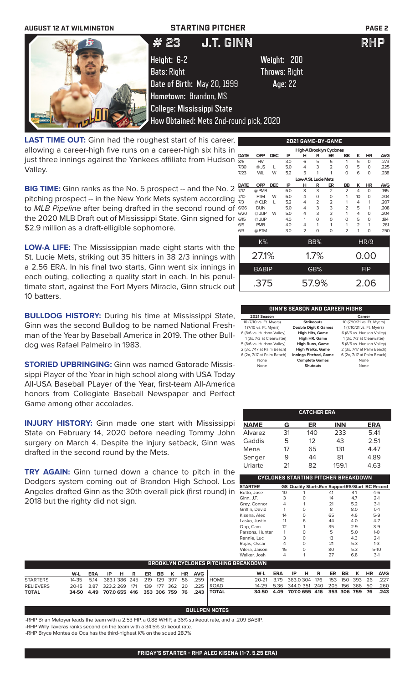

**LAST TIME OUT:** Ginn had the roughest start of his career, allowing a career-high five runs on a career-high six hits in just three innings against the Yankees affiliate from Hudson Valley.

**BIG TIME:** Ginn ranks as the No. 5 prospect -- and the No. 2 pitching prospect -- in the New York Mets system according to *MLB Pipeline* after being drafted in the second round of the 2020 MLB Draft out of Mississippi State. Ginn signed for \$2.9 million as a draft-elligible sophomore.

**LOW-A LIFE:** The Mississippian made eight starts with the St. Lucie Mets, striking out 35 hitters in 38 2/3 innings with a 2.56 ERA. In his final two starts, Ginn went six innings in each outing, collecting a quality start in each. In his penultimate start, against the Fort Myers Miracle, Ginn struck out 10 batters.

**BULLDOG HISTORY:** During his time at Mississippi State, Ginn was the second Bulldog to be named National Freshman of the Year by Baseball America in 2019. The other Bulldog was Rafael Palmeiro in 1983.

**STORIED UPBRINGING:** Ginn was named Gatorade Mississippi Player of the Year in high school along with USA Today All-USA Baseball PLayer of the Year, first-team All-America honors from Collegiate Baseball Newspaper and Perfect Game among other accolades.

**INJURY HISTORY:** Ginn made one start with Mississippi State on February 14, 2020 before needing Tommy John surgery on March 4. Despite the injury setback, Ginn was drafted in the second round by the Mets.

**TRY AGAIN:** Ginn turned down a chance to pitch in the Dodgers system coming out of Brandon High School. Los Angeles drafted Ginn as the 30th overall pick (first round) in 2018 but the righty did not sign.

|             |                                                                                      |            |     |                      |          | 2021 GAME-BY-GAME        |                |                |             |            |  |
|-------------|--------------------------------------------------------------------------------------|------------|-----|----------------------|----------|--------------------------|----------------|----------------|-------------|------------|--|
|             |                                                                                      |            |     |                      |          | High-A Brooklyn Cyclones |                |                |             |            |  |
| <b>DATE</b> | <b>OPP</b>                                                                           | <b>DEC</b> | IP  | н                    | R        | ER                       | BB             | ĸ              | HR          | <b>AVG</b> |  |
| 8/6         | <b>HV</b>                                                                            |            | 3.0 | 6                    | 5        | 5                        | 1              | 5              | $\Omega$    | .273       |  |
| 7/30        | $@$ JS                                                                               | L          | 5.0 | 4                    | 3        | 2                        | 0              | 5              | 0           | .225       |  |
| 7/23        | <b>WIL</b>                                                                           | W          | 5.2 | 5                    | 1        | 1                        | $\Omega$       | 6              | 0           | .238       |  |
|             |                                                                                      |            |     | Low-A St. Lucie Mets |          |                          |                |                |             |            |  |
| <b>DATE</b> | <b>OPP</b><br><b>DEC</b><br>IP<br><b>AVG</b><br>R<br>ER<br>BB<br><b>HR</b><br>н<br>κ |            |     |                      |          |                          |                |                |             |            |  |
| 7/17        | @ PMB                                                                                |            | 6.0 | 3                    | 3        | $\overline{2}$           | $\overline{2}$ | $\overline{4}$ | $\Omega$    | .195       |  |
| 7/10        | <b>FTM</b>                                                                           | W          | 6.0 | 4                    | 0        | 0                        | 1              | 10             | O           | .204       |  |
| 7/3         | @ CLR                                                                                | L          | 5.2 | 4                    | 2        | 2                        | 1              | 4              | 1           | .207       |  |
| 6/26        | <b>DUN</b>                                                                           |            | 5.0 | 4                    | 3        | 3                        | $\overline{2}$ | 5              | 1           | .208       |  |
| 6/20        | @ JUP                                                                                | W          | 5.0 | 4                    | 3        | 3                        | 1              | 4              | O           | .204       |  |
| 6/15        | @ JUP                                                                                |            | 4.0 | 1                    | $\Omega$ | $\Omega$                 | O              | 5              | 0           | 194        |  |
| 6/9         | <b>PMB</b>                                                                           |            | 4.0 | 4                    | 1        | 1                        | 1              | $\overline{2}$ | 1           | .261       |  |
| 6/3         | @FTM                                                                                 |            | 3.0 | $\overline{2}$       | 0        | O                        | $\overline{2}$ | 1              | O           | .250       |  |
|             | K%                                                                                   |            |     |                      | BB%      |                          |                |                | <b>HR/9</b> |            |  |
|             | 27.1%                                                                                |            |     |                      | 1.7%     |                          |                |                | 0.00        |            |  |
|             | <b>BABIP</b>                                                                         |            |     |                      | GB%      |                          |                |                | <b>FIP</b>  |            |  |
|             | .375                                                                                 |            |     |                      | 57.9%    |                          |                |                | 2.06        |            |  |

### **GINN'S SEASON AND CAREER HIGHS**

| 2021 Season                |                              | Career                     |
|----------------------------|------------------------------|----------------------------|
| 10 (7/10 vs. Ft. Myers)    | <b>Strikeouts</b>            | 10 (7/10/21 vs. Ft. Myers) |
| 1 (7/10 vs. Ft. Myers)     | <b>Double Digit K Games</b>  | 1 (7/10/21 vs. Ft. Myers)  |
| 6 (8/6 vs. Hudson Valley)  | <b>High Hits, Game</b>       | 6 (8/6 vs. Hudson Valley)  |
| 1 (3x, 7/3 at Clearwater)  | High HR, Game                | 1(3x, 7/3 at Clearwater)   |
| 5 (8/6 vs. Hudson Valley)  | <b>High Runs, Game</b>       | 5 (8/6 vs. Hudson Valley)  |
| 2 (3x, 7/17 at Palm Beach) | <b>High Walks, Game</b>      | 2 (3x, 7/17 at Palm Beach) |
| 6 (2x, 7/17 at Palm Beach) | <b>Innings Pitched, Game</b> | 6 (2x, 7/17 at Palm Beach) |
| None                       | <b>Complete Games</b>        | None                       |
| None                       | <b>Shutouts</b>              | None                       |

|             |    | <b>CATCHER ERA</b> |            |            |
|-------------|----|--------------------|------------|------------|
| <b>NAME</b> | G  | ER                 | <b>INN</b> | <b>ERA</b> |
| Alvarez     | 31 | 140                | 233        | 5.41       |
| Gaddis      | 5  | 12                 | 43         | 2.51       |
| Mena        | 17 | 65                 | 131        | 4.47       |
| Senger      | 9  | 44                 | 81         | 4.89       |
| Uriarte     | 21 | 82                 | 159.1      | 4.63       |

|                 |    |   | CYCLONES STARTING PITCHER BREAKDOWN                   |     |         |
|-----------------|----|---|-------------------------------------------------------|-----|---------|
| <b>STARTER</b>  |    |   | <b>GS Quality StartsRun SupportRS/Start BC Record</b> |     |         |
| Butto, Jose     | 10 |   | 41                                                    | 4.1 | $4-6$   |
| Ginn, J.T.      | 3  | 0 | 14                                                    | 4.7 | $2 - 1$ |
| Grey, Connor    | 4  |   | 21                                                    | 5.2 | $3-1$   |
| Griffin, David  |    |   | 8                                                     | 8.0 | $O-1$   |
| Kisena, Alec    | 14 | Ω | 65                                                    | 4.6 | $5-9$   |
| Lasko, Justin   | 11 | 6 | 44                                                    | 4.0 | $4 - 7$ |
| Opp, Cam        | 12 |   | 35                                                    | 2.9 | $3-9$   |
| Parsons, Hunter | 1  |   | 5                                                     | 5.0 | $1 - 0$ |
| Rennie, Luc     | 3  | O | 13                                                    | 4.3 | $2 - 1$ |
| Rojas, Oscar    | 4  | Ω | 21                                                    | 5.3 | $1 - 3$ |
| Vilera, Jaison  | 15 | U | 80                                                    | 5.3 | $5-10$  |
| Walker, Josh    | 4  |   | 27                                                    | 6.8 | $3-1$   |

|                  |     |     |  |  |  |                       | BROOKLYN CYCLONES PITCHING BREAKDOWN                        |                                              |     |      |  |  |  |                |
|------------------|-----|-----|--|--|--|-----------------------|-------------------------------------------------------------|----------------------------------------------|-----|------|--|--|--|----------------|
|                  | W-L | ERA |  |  |  | IP H R ER BB K HR AVG |                                                             | W-L                                          | ERA | IPHR |  |  |  | ER BB K HR AVG |
| <b>STARTERS</b>  |     |     |  |  |  |                       | 14-35  5.14  383.1  386  245  219  129  397  56  .259  HOME | 20-21 3.79 363.0 304 176 153 150 393 26 .227 |     |      |  |  |  |                |
| <b>RELIEVERS</b> |     |     |  |  |  |                       | 20-15 3.87 323.2 269 171 139 177 362 20 .225 ROAD           | 14-29 5.36 344.0 351 240 205 156 366 50 .260 |     |      |  |  |  |                |
| <b>TOTAL</b>     |     |     |  |  |  |                       | 34-50 4.49 707.0 655 416 353 306 759 76 .243 TOTAL          | 34-50 4.49 707.0 655 416 353 306 759 76 .243 |     |      |  |  |  |                |

### **BULLPEN NOTES**

-RHP Brian Metoyer leads the team with a 2.53 FIP, a 0.88 WHIP, a 36% strikeout rate, and a .209 BABIP.

-RHP Willy Taveras ranks second on the team with a 34.5% strikeout rate.

-RHP Bryce Montes de Oca has the third-highest K% on the squad 28.7%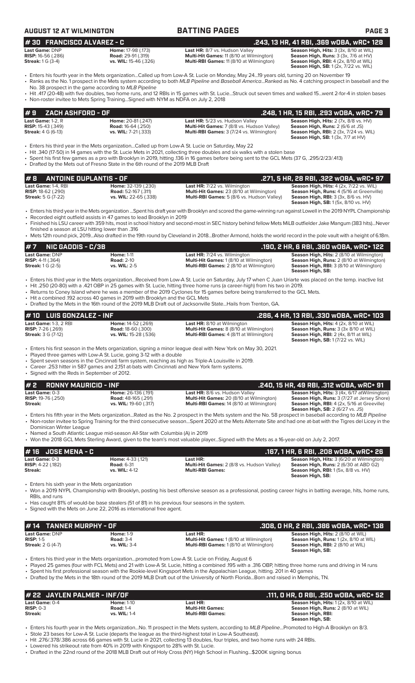| <b>AUGUST 12 AT WILMINGTON</b>                                                                 |                                                                                                                                                                           | <b>BATTING PAGES</b>                                                                                                                                                                                                                                                                                                                                                                                                                                                                                                                          | <b>PAGE 3</b>                                                                                                                                                                                                       |
|------------------------------------------------------------------------------------------------|---------------------------------------------------------------------------------------------------------------------------------------------------------------------------|-----------------------------------------------------------------------------------------------------------------------------------------------------------------------------------------------------------------------------------------------------------------------------------------------------------------------------------------------------------------------------------------------------------------------------------------------------------------------------------------------------------------------------------------------|---------------------------------------------------------------------------------------------------------------------------------------------------------------------------------------------------------------------|
|                                                                                                |                                                                                                                                                                           |                                                                                                                                                                                                                                                                                                                                                                                                                                                                                                                                               |                                                                                                                                                                                                                     |
| #30 FRANCISCO ALVAREZ - C<br>Last Game: DNP<br>RISP: 16-56 (.286)<br><b>Streak:</b> 1 G (3-4)  | Home: 17-98 (.173)<br><b>Road: 29-91 (.319)</b><br>vs. WIL: 15-46 (.326)                                                                                                  | Last HR: 8/7 vs. Hudson Valley<br>Multi-Hit Games: 11 (8/10 at Wilmington)<br>Multi-RBI Games: 11 (8/10 at Wilmington)                                                                                                                                                                                                                                                                                                                                                                                                                        | .243, 13 HR, 41 RBI, .369 wOBA, wRC+ 128<br>Season High, Hits: 3 (3x, 8/10 at WIL)<br>Season High, Runs: 3 (3x, 7/6 at HV)<br>Season High, RBI: 4 (2x, 8/10 at WIL)<br><b>Season High, SB:</b> 1 (2x, 7/22 vs. WIL) |
|                                                                                                | No. 38 prospect in the game according to MLB Pipeline<br>• Non-roster invitee to Mets Spring TrainingSigned with NYM as NDFA on July 2, 2018                              | · Enters his fourth year in the Mets organizationCalled up from Low-A St. Lucie on Monday, May 2419 years old, turning 20 on November 19<br>• Ranks as the No. 1 prospect in the Mets system according to both MLB Pipeline and Baseball AmericaRanked as No. 4 catching prospect in baseball and the<br>• Hit .417 (20-48) with five doubles, two home runs, and 12 RBIs in 15 games with St. LucieStruck out seven times and walked 15went 2-for-4 in stolen bases                                                                          |                                                                                                                                                                                                                     |
| ZACH ASHFORD - OF<br>#9                                                                        |                                                                                                                                                                           |                                                                                                                                                                                                                                                                                                                                                                                                                                                                                                                                               | .248, 1 HR, 15 RBI, .293 wOBA, wRC+ 79                                                                                                                                                                              |
| Last Game: 1-2, R<br><b>RISP:</b> 15-43 (.349)<br><b>Streak: 4 G (6-13)</b>                    | Home: 20-81 (.247)<br><b>Road: 16-64 (.250)</b><br>vs. WIL: 7-21 (.333)                                                                                                   | Last HR: 5/23 vs. Hudson Valley<br>Multi-Hit Games: 7 (8/8 vs. Hudson Valley)<br>Multi-RBI Games: 3 (7/24 vs. Wilmington)                                                                                                                                                                                                                                                                                                                                                                                                                     | Season High, Hits: 2 (7x, 8/8 vs. HV)<br>Season High, Runs: 2 (6/6 at JS)<br><b>Season High, RBI:</b> 2 (3x, 7/24 vs. WIL)<br>Season High, SB: 1 (3x, 7/7 at HV)                                                    |
|                                                                                                | • Drafted by the Mets out of Fresno State in the 6th round of the 2019 MLB Draft                                                                                          | Enters his third year in the Mets organizationCalled up from Low-A St. Lucie on Saturday, May 22 •<br>• Hit .340 (17-50) in 14 games with the St. Lucie Mets in 2021, collecting three doubles and six walks with a stolen base<br>Spent his first few games as a pro with Brooklyn in 2019, hitting .136 in 16 games before being sent to the GCL Mets (37 G, .295/2/23/.413)                                                                                                                                                                |                                                                                                                                                                                                                     |
| #8<br><b>ANTOINE DUPLANTIS - OF</b>                                                            |                                                                                                                                                                           |                                                                                                                                                                                                                                                                                                                                                                                                                                                                                                                                               | .271, 5 HR, 28 RBI, .322 wOBA, wRC+ 97                                                                                                                                                                              |
| Last Game: 1-4, RBI<br><b>RISP:</b> 18-62 (.290)<br><b>Streak:</b> 5 G (7-22)                  | Home: 32-139 (.230)<br><b>Road:</b> 52-167 (.311)<br>vs. WIL: 22-65 (.338)                                                                                                | Last HR: 7/22 vs. Wilmington<br>Multi-Hit Games: 23 (8/10 at Wilmington)<br>Multi-RBI Games: 5 (8/6 vs. Hudson Valley)                                                                                                                                                                                                                                                                                                                                                                                                                        | Season High, Hits: 4 (2x, 7/22 vs. WIL)<br>Season High, Runs: 4 (5/16 at Greenville)<br><b>Season High, RBI:</b> 3 (3x, 8/6 vs. HV)<br>Season High, SB: 1 (5x, 8/10 vs. HV)                                         |
| finished a season at LSU hitting lower than .316                                               | • Recorded eight outfield assists in 47 games to lead Brooklyn in 2019                                                                                                    | • Enters his third year in the Mets organization Spent his draft year with Brooklyn and scored the game-winning run against Lowell in the 2019 NYPL Championship<br>• Finished his LSU career with 359 hits, most in school history and second-most in SEC history behind fellow Mets MiLB outfielder Jake Mangum (383 hits)Never<br>• Mets 12th round pick, 2019Also drafted in the 19th round by Cleveland in 2018Brother Armond, holds the world record in the pole vault with a height of 6.18m.                                          |                                                                                                                                                                                                                     |
| #7<br><b>NIC GADDIS - C/3B</b>                                                                 |                                                                                                                                                                           |                                                                                                                                                                                                                                                                                                                                                                                                                                                                                                                                               | .190, 2 HR, 6 RBI, .360 w0BA, wRC+ 122                                                                                                                                                                              |
| Last Game: DNP<br><b>RISP:</b> $4-11$ (.364)<br><b>Streak:</b> 1 G (2-5)                       | <b>Home: 1-11</b><br><b>Road: 2-10</b><br>vs. WIL: 2-5                                                                                                                    | Last HR: 7/24 vs. Wilmington<br>Multi-Hit Games: 1 (8/10 at Wilmington)<br>Multi-RBI Games: 2 (8/10 at Wilmington)                                                                                                                                                                                                                                                                                                                                                                                                                            | Season High, Hits: 2 (8/10 at Wilmington)<br>Season High, Runs: 2 (8/10 at Wilmington)<br>Season High, RBI: 3 (8/10 at Wilmington)<br>Season High, SB:                                                              |
|                                                                                                | • Hit a combined .192 across 40 games in 2019 with Brooklyn and the GCL Mets                                                                                              | • Enters his third year in the Mets organizationReceived from Low-A St. Lucie on Saturday, July 17 when C Juan Uriarte was placed on the temp. inactive list<br>. Hit .250 (20-80) with a .421 OBP in 25 games with St. Lucie, hitting three home runs (a career-high) from his two in 2019.<br>• Returns to Coney Island where he was a member of the 2019 Cyclones for 15 games before being transferred to the GCL Mets.<br>• Drafted by the Mets in the 16th round of the 2019 MLB Draft out of Jacksonville StateHails from Trenton, GA. |                                                                                                                                                                                                                     |
| #10<br><b>LUIS GONZALEZ - INF</b>                                                              |                                                                                                                                                                           |                                                                                                                                                                                                                                                                                                                                                                                                                                                                                                                                               | .286, 4 HR, 13 RBI, .330 w0BA, wRC+ 103                                                                                                                                                                             |
| Last Game: 1-3, 2 RBI<br>RISP: 7-26 (.269)<br><b>Streak: 3 G (7-12)</b>                        | Home: 14-52 (.269)<br>Road: 18-60 (.300)<br>vs. WIL: 15-28 (.536)                                                                                                         | Last HR: 8/10 at Wilmington<br>Multi-Hit Games: 8 (8/10 at Wilmington)<br>Multi-RBI Games: 4 (8/11 at Wilmington)                                                                                                                                                                                                                                                                                                                                                                                                                             | Season High, Hits: 4 (2x, 8/10 at WIL)<br>Season High, Runs: 3 (3x 8/10 at WIL)<br>Season High, RBI: 2 (4x, 8/11 at WIL)<br>Season High, SB: 1 (7/22 vs. WIL)                                                       |
| • Signed with the Reds in September of 2012.                                                   | • Played three games with Low-A St. Lucie, going 3-12 with a double<br>• Career .253 hitter in 587 games and 2.151 at-bats with Cincinnati and New York farm systems.     | • Enters his first season in the Mets organization, signing a minor league deal with New York on May 30, 2021.<br>• Spent seven seasons in the Cincinnati farm system, reaching as high as Triple-A Louisville in 2019.                                                                                                                                                                                                                                                                                                                       |                                                                                                                                                                                                                     |
| #2<br><b>RONNY MAURICIO - INF</b>                                                              |                                                                                                                                                                           |                                                                                                                                                                                                                                                                                                                                                                                                                                                                                                                                               | .240, 15 HR, 49 RBI, .312 wOBA, wRC+ 91                                                                                                                                                                             |
| Last Game: 0-3<br><b>RISP:</b> 19-76 (.250)<br><b>Streak:</b>                                  | Home: 26-136 (.191)<br><b>Road:</b> 48-165 (.291)<br>vs. WIL: 19-60 (.317)                                                                                                | Last HR: 8/6 vs. Hudson Valley<br>Multi-Hit Games: 20 (8/10 at Wilmington)<br>Multi-RBI Games: 14 (8/10 at Wilmington)                                                                                                                                                                                                                                                                                                                                                                                                                        | Season High, Hits: 3 (4x, 6/17 atWilmington)<br>Season High, Runs: 3 (7/27 at Jersey Shore)<br><b>Season High, RBI:</b> 4 (2x, 5/16 at Greeville)<br><b>Season High, SB:</b> 2 (6/27 vs. JS)                        |
| Dominican Winter League                                                                        | • Named a South Atlantic League mid-season All-Star with Columbia (A) in 2019                                                                                             | • Enters his fifth year in the Mets organizationRated as the No. 2 prospect in the Mets system and the No. 58 prospect in baseball according to MLB Pipeline<br>• Non-roster invitee to Spring Training for the third consecutive seasonSpent 2020 at the Mets Alternate Site and had one at-bat with the Tigres del Licey in the<br>• Won the 2018 GCL Mets Sterling Award, given to the team's most valuable playerSigned with the Mets as a 16-year-old on July 2, 2017.                                                                   |                                                                                                                                                                                                                     |
| <b>JOSE MENA - C</b><br>#16                                                                    |                                                                                                                                                                           |                                                                                                                                                                                                                                                                                                                                                                                                                                                                                                                                               | .167, 1 HR, 6 RBI, .208 wOBA, wRC+ 26                                                                                                                                                                               |
| Last Game: 0-3                                                                                 | Home: 4-33 (.121)                                                                                                                                                         | Last HR:                                                                                                                                                                                                                                                                                                                                                                                                                                                                                                                                      | Season High, Hits: 3 (6/20 at Wilmington)                                                                                                                                                                           |
| <b>RISP:</b> 4-22 (.182)<br><b>Streak:</b><br>• Enters his sixth year in the Mets organization | <b>Road: 6-31</b><br>vs. WIL: 4-12                                                                                                                                        | Multi-Hit Games: 2 (8/8 vs. Hudson Valley)<br><b>Multi-RBI Games:</b>                                                                                                                                                                                                                                                                                                                                                                                                                                                                         | Season High, Runs: 2 (6/30 at ABD G2)<br><b>Season High, RBI:</b> 1 (5x, 8/8 vs. HV)<br>Season High, SB:                                                                                                            |
| RBIs, and runs                                                                                 | • Has caught 81% of would-be base stealers (51 of 81) in his previous four seasons in the system.<br>• Signed with the Mets on June 22, 2016 as international free agent. | • Won a 2019 NYPL Championship with Brooklyn, posting his best offensive season as a professional, posting career highs in batting average, hits, home runs,                                                                                                                                                                                                                                                                                                                                                                                  |                                                                                                                                                                                                                     |
|                                                                                                |                                                                                                                                                                           |                                                                                                                                                                                                                                                                                                                                                                                                                                                                                                                                               |                                                                                                                                                                                                                     |
| <b>TANNER MURPHY - OF</b><br>#14<br>Last Game: DNP                                             | <b>Home: 1-9</b>                                                                                                                                                          | Last HR:                                                                                                                                                                                                                                                                                                                                                                                                                                                                                                                                      | .308, 0 HR, 2 RBI, .386 w0BA, wRC+ 138<br>Season High, Hits: 2 (8/10 at WIL)                                                                                                                                        |
| <b>RISP: 1-5</b><br><b>Streak: 2 G (4-7)</b>                                                   | <b>Road: 3-4</b><br>vs. WIL: 3-4                                                                                                                                          | Multi-Hit Games: 1 (8/10 at Wilmington)<br>Multi-RBI Games: 1 (8/10 at Wilmington)                                                                                                                                                                                                                                                                                                                                                                                                                                                            | Season High, Runs: 1 (2x, 8/10 at WIL)<br>Season High, RBI: 2 (8/10 at WIL)<br>Season High, SB:                                                                                                                     |
|                                                                                                |                                                                                                                                                                           | . Enters his third year in the Mets organizationpromoted from Low-A St. Lucie on Friday, August 6<br>. Played 25 games (four with FCL Mets) and 21 with Low-A St. Lucie, hitting a combined 195 with a .316 OBP, hitting three home runs and driving in 14 runs<br>• Spent his first professional season with the Rookie-level Kingsport Mets in the Appalachian League, hitting. 201 in 40 games<br>• Drafted by the Mets in the 18th round of the 2019 MLB Draft out of the University of North FloridaBorn and raised in Memphis, TN.      |                                                                                                                                                                                                                     |

**# 22 JAYLEN PALMER - INF/OF**<br> **111, 0 HR, 0 RBI, .250 wOBA, wRC+ 52**<br> **111, 0 HR, 0 RBI, .250 wOBA, wRC+ 52**<br> **111, 0 HR, 0 RBI, .250 wOBA, wRC+ 52**<br> **111, 0 HR, 0 RBI, .250 wOBA, wRC+ 52**<br> **111, 0 HR, 0 RBI, .250 wOBA, w Last Game:** 0-4 **Home:** 1-10 **Last HR: Season High, Hits:** 1 (2x, 8/10 at WIL) **RISP:** 0-3 **Road:** 1-4 **Multi-Hit Games: Season High, Runs:** 2 (8/10 at WIL) **Streak: vs. WIL:** 1-4 **Multi-RBI Games: Season High, RBI: Season High, SB:** 

• Enters his fourth year in the Mets organization...No. 11 prospect in the Mets system, according to *MLB Pipeline*...Promoted to High-A Brooklyn on 8/3. • Stole 23 bases for Low-A St. Lucie (departs the league as the third-highest total in Low-A Southeast).

• Hit .276/.378/.386 across 66 games with St. Lucie in 2021, collecting 13 doubles, four triples, and two home runs with 24 RBIs.

• Lowered his strikeout rate from 40% in 2019 with Kingsport to 28% with St. Lucie.

• Drafted in the 22nd round of the 2018 MLB Draft out of Holy Cross (NY) High School in Flushing...\$200K signing bonus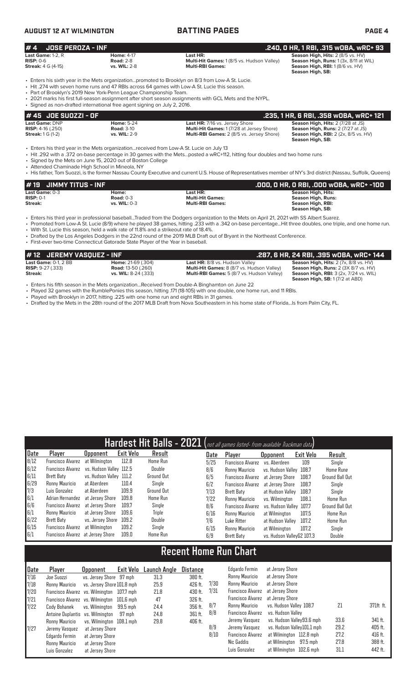### **AUGUST 12 AT WILMINGTON BATTING PAGES PAGE 4**

| #4<br><b>JOSE PEROZA - INF</b>                                                  |                                                                                                                                                |                                                                                                                                                                                                                                                                                                                | .240, 0 HR, 1 RBI, .315 wOBA, wRC+ 93                                                                                                     |
|---------------------------------------------------------------------------------|------------------------------------------------------------------------------------------------------------------------------------------------|----------------------------------------------------------------------------------------------------------------------------------------------------------------------------------------------------------------------------------------------------------------------------------------------------------------|-------------------------------------------------------------------------------------------------------------------------------------------|
| Last Game: $1-2$ , R<br>$RISP: 0-6$<br><b>Streak: 4 G (4-15)</b>                | <b>Home: 4-17</b><br><b>Road: 2-8</b><br>vs. WIL: 2-8                                                                                          | Last HR:<br><b>Multi-Hit Games: 1 (8/5 vs. Hudson Valley)</b><br><b>Multi-RBI Games:</b>                                                                                                                                                                                                                       | Season High, Hits: 2 (8/5 vs. HV)<br>Season High, Runs: 1 (3x, 8/11 at WIL)<br>Season High, RBI: 1 (8/6 vs. HV)<br>Season High, SB:       |
|                                                                                 | • Part of Brooklyn's 2019 New York-Penn League Championship Team.<br>· Signed as non-drafted international free agent signing on July 2, 2016. | . Enters his sixth year in the Mets organizationpromoted to Brooklyn on 8/3 from Low-A St. Lucie.<br>• Hit .274 with seven home runs and 47 RBIs across 64 games with Low-A St. Lucie this season.<br>. 2021 marks his first full-season assignment after short season assignments with GCL Mets and the NYPL. |                                                                                                                                           |
| # 45 JOE SUOZZI - OF                                                            |                                                                                                                                                |                                                                                                                                                                                                                                                                                                                | .235, 1 HR, 6 RBI, .358 wOBA, wRC+ 121                                                                                                    |
| <b>Last Game: DNP</b><br><b>RISP:</b> $4-16$ (.250)<br><b>Streak:</b> 1 G (1-2) | <b>Home: 5-24</b><br><b>Road: 3-10</b><br>vs. WIL: 2-9                                                                                         | Last HR: 7/16 vs. Jersey Shore<br>Multi-Hit Games: 1 (7/28 at Jersey Shore)<br>Multi-RBI Games: 2 (8/5 vs. Jersey Shore)                                                                                                                                                                                       | Season High, Hits: 2 (7/28 at JS)<br>Season High, Runs: 2 (7/27 at JS)<br><b>Season High, RBI:</b> 2 (2x, 8/5 vs. HV)<br>Season High, SB: |

• Enters his third year in the Mets organization...received from Low-A St. Lucie on July 13

• Hit .292 with a .372 on-base percentage in 30 games with the Mets...posted a wRC+112, hitting four doubles and two home runs

• Signed by the Mets on June 15, 2020 out of Boston College

• Attended Chaminade High School in Mineola, NY

• His father, Tom Suozzi, is the former Nassau County Executive and current U.S. House of Representatives member of NY's 3rd district (Nassau, Suffolk, Queens)

| $#$ 19 JIMMY TITUS - INF |                     |                         | .000, 0 HR, 0 RBI, .000 w0BA, wRC+ -100 |
|--------------------------|---------------------|-------------------------|-----------------------------------------|
| Last Game: 0-3           | Home:               | Last HR:                | <b>Season High, Hits:</b>               |
| $RISP: 0-1$              | Road: $0-3$         | <b>Multi-Hit Games:</b> | <b>Season High, Runs:</b>               |
| Streak:                  | <b>vs. WIL: 0-3</b> | <b>Multi-RBI Games:</b> | Season High, RBI:                       |
|                          |                     |                         | Season High, SB:                        |

• Enters his third year in professional baseball...Traded from the Dodgers organization to the Mets on April 21, 2021 with SS Albert Suarez.

• Promoted from Low-A St. Lucie (8/9) where he played 38 games, hitting .233 with a .342 on-base percentage...Hit three doubles, one triple, and one home run.

• With St. Lucie this season, held a walk rate of 11.8% and a strikeout rate of 18.4%.

• Drafted by the Los Angeles Dodgers in the 22nd round of the 2019 MLB Draft out of Bryant in the Northeast Conference.

• Draned by the Los Angeles Dougers in the Lend Fourth of the Year in baseball.<br>• First-ever two-time Connecticut Gatorade State Player of the Year in baseball.

| #12 JEREMY VASQUEZ - INF   |                             |                                                   | .287, 6 HR, 24 RBI, .395 wOBA, wRC+ 144       |
|----------------------------|-----------------------------|---------------------------------------------------|-----------------------------------------------|
| Last Game: $0-1$ . $2$ BB  | <b>Home:</b> $21-69$ (.304) | Last HR: 8/8 vs. Hudson Valley                    | Season High, Hits: 2 (7x, 8/8 vs. HV)         |
| <b>RISP:</b> $9-27$ (.333) | <b>Road:</b> 13-50 (.260)   | <b>Multi-Hit Games:</b> 8 (8/7 vs. Hudson Valley) | Season High, Runs: 2 (3X 8/7 vs. HV)          |
| Streak:                    | <b>vs. WIL:</b> 8-24 (.333) | Multi-RBI Games: 5 (8/7 vs. Hudson Valley)        | <b>Season High, RBI:</b> 3 (2x, 7/24 vs. WIL) |
|                            |                             |                                                   | <b>Season High, SB:</b> 1 (7/2 at ABD)        |

• Enters his fifth season in the Mets organization...Received from Double-A Binghamton on June 22

• Played 32 games with the RumblePonies this season, hitting .171 (18-105) with one double, one home run, and 11 RBIs.

• Played with Brooklyn in 2017, hitting .225 with one home run and eight RBIs in 31 games.

• Drafted by the Mets in the 28th round of the 2017 MLB Draft from Nova Southeastern in his home state of Florida...Is from Palm City, FL.

|        |                                           |                         |                  |                   |      | Hardest Hit Balls - 2021 (not all games listed- from available Trackman data) |                           |           |                        |
|--------|-------------------------------------------|-------------------------|------------------|-------------------|------|-------------------------------------------------------------------------------|---------------------------|-----------|------------------------|
| Date   | Player                                    | Upponent                | <b>Exit Velo</b> | Result            | Date | Player                                                                        | <b>Opponent</b>           | Exit Velo | Result                 |
| $8/12$ | <b>Francisco Alvarez</b>                  | at Wilmington           | 112.8            | Home Run          | 5/25 | <b>Francisco Alvarez</b>                                                      | vs. Aberdeen              | 109       | Single                 |
| 6/12   | Francisco Alvarez vs. Hudson Valley 112.5 |                         |                  | Double            | 8/6  | Ronny Mauricio                                                                | vs. Hudson Valley 108.7   |           | <b>Home Rune</b>       |
| 6/11   | Brett Baty                                | vs. Hudson Valley 111.2 |                  | <b>Ground Out</b> | 6/5  | <b>Francisco Alvarez</b>                                                      | at Jersev Shore           | 108.7     | Ground Ball Out        |
| 6/29   | Ronny Mauricio                            | at Aberdeen             | 110.4            | Single            | 6/2  | <b>Francisco Alvarez</b>                                                      | at Jersev Shore           | 108.7     | Single                 |
| 7/3    | Luis Gonzalez                             | at Aberdeen             | 109.9            | Ground Out        | 7/13 | Brett Baty                                                                    | at Hudson Vallev          | 108.7     | Single                 |
| 6/1    | Adrian Hernandez                          | at Jersev Shore         | 109.8            | Home Run          | 7/22 | Ronny Mauricio                                                                | vs. Wilminaton            | 108.1     | Home Run               |
| 6/6    | Francisco Alvarez                         | at Jersev Shore         | 109.7            | Single            | 8/6  | <b>Francisco Alvarez</b>                                                      | vs. Hudson Valley 107.7   |           | <b>Ground Ball Out</b> |
| 6/1    | Ronny Mauricio                            | at Jersev Shore         | 109.6            | Triple            | 6/16 | Ronny Mauricio                                                                | at Wilmington             | 107.5     | <b>Home Run</b>        |
| 6/22   | Brett Baty                                | vs. Jersey Shore        | 109.2            | Double            | 7/6  | Luke Ritter                                                                   | at Hudson Valley          | 107.2     | <b>Home Run</b>        |
| 6/15   | Francisco Alvarez                         | at Wilmington           | 109.2            | Single            | 6/15 | Ronny Mauricio                                                                | at Wilmington             | 107.2     | Single                 |
| 6/1    | Francisco Alvarez at Jersey Shore         |                         | 109.0            | Home Run          | 6/9  | Brett Baty                                                                    | vs. Hudson VallevG2 107.3 |           | Double                 |

# **Recent Home Run Chart**

| Date                                                | Player                                     | <b>Opponent</b>            | Exit Velo | Launch Angle | Distance |      | Edgardo Fermin           | at Jersey Shore            |      |           |
|-----------------------------------------------------|--------------------------------------------|----------------------------|-----------|--------------|----------|------|--------------------------|----------------------------|------|-----------|
| 7/16                                                | Joe Suozzi                                 | vs. Jersey Shore 97 mph    |           | 31.3         | 380 ft.  |      | Ronny Mauricio           | at Jersey Shore            |      |           |
|                                                     | Ronny Mauricio                             | vs. Jersev Shore 101.8 mph |           | 25.9         | 426 ft.  | 7/30 | Ronny Mauricio           | at Jersey Shore            |      |           |
| $\frac{7}{120}$<br>$\frac{7}{20}$<br>$\frac{7}{21}$ | Francisco Alvarez vs. Wilmington 107.7 mph |                            |           | 21.8         | 430 ft.  | 7/31 | Francisco Alvarez        | at Jersev Shore            |      |           |
|                                                     | Francisco Alvarez vs. Wilmington 101.6 mph |                            |           | 47           | 326 ft.  |      | Francisco Alvarez        | at Jersev Shore            |      |           |
| 7/22                                                | Cody Bohanek                               | vs. Wilmington             | 99.5 mph  | 24.4         | 356 ft.  | 8/7  | Ronny Mauricio           | vs. Hudson Valley 108.7    | 21   | 371ft ft. |
|                                                     | Antoine Duplantis vs. Wilmington           |                            | 97 mph    | 24.8         | 361 ft.  | 8/8  | Francisco Alvarez        | vs. Hudson Valley          |      |           |
|                                                     | Ronny Mauricio                             | vs. Wilmington 108.1 mph   |           | 29.8         | 406 ft.  |      | Jeremy Vasquez           | vs. Hudson Valley93.6 mph  | 33.6 | 341 ft.   |
| 7/27                                                | Jeremy Vasquez                             | at Jersey Shore            |           |              |          | 8/9  | Jeremy Vasquez           | vs. Hudson Valley101.1 mph | 29.2 | 405 ft.   |
|                                                     | Edgardo Fermin                             | at Jersey Shore            |           |              |          | 8/10 | <b>Francisco Alvarez</b> | at Wilmington 112.8 mph    | 27.2 | 416 ft.   |
|                                                     | Ronny Mauricio                             | at Jersey Shore            |           |              |          |      | Nic Gaddis               | at Wilmington 97.5 mph     | 27.8 | 388 ft.   |
|                                                     | Luis Gonzalez                              | at Jersey Shore            |           |              |          |      | Luis Gonzalez            | at Wilmington 102.6 mph    | 31.1 | 442 ft.   |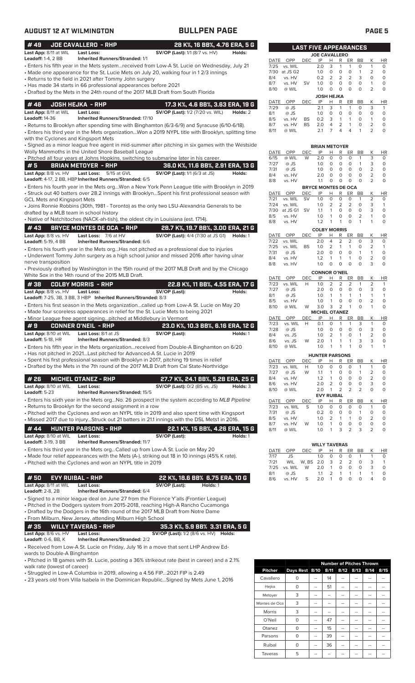| <b>AUGUST 12 AT WILMINGTON</b>                                                         |                                                                                                                            | <b>BULLPEN PAGE</b>                                                                                                                                                                                                                                                                                                                                                                    |                               |                              |                                                                   |                              |                                                                     |                                                                    |                                        |                                                                           |                                                         |                                                                                  | <b>PAGE 5</b>                                                             |
|----------------------------------------------------------------------------------------|----------------------------------------------------------------------------------------------------------------------------|----------------------------------------------------------------------------------------------------------------------------------------------------------------------------------------------------------------------------------------------------------------------------------------------------------------------------------------------------------------------------------------|-------------------------------|------------------------------|-------------------------------------------------------------------|------------------------------|---------------------------------------------------------------------|--------------------------------------------------------------------|----------------------------------------|---------------------------------------------------------------------------|---------------------------------------------------------|----------------------------------------------------------------------------------|---------------------------------------------------------------------------|
| #49                                                                                    | <b>JOE CAVALLERO - RHP</b>                                                                                                 | 28 K%, 16 BB%, 4.76 ERA, 5 G                                                                                                                                                                                                                                                                                                                                                           |                               |                              |                                                                   | <b>LAST FIVE APPEARANCES</b> |                                                                     |                                                                    |                                        |                                                                           |                                                         |                                                                                  |                                                                           |
| Last App: 8/11 at WIL<br><b>Leadoff: 1-4, 2 BB</b>                                     | <b>Last Loss:</b><br><b>Inherited Runners/Stranded: 1/1</b>                                                                | <b>SV/OP (Last):</b> 1/1 (8/7 vs. HV)                                                                                                                                                                                                                                                                                                                                                  | Holds:                        |                              |                                                                   |                              | <b>JOE CAVALLERO</b>                                                |                                                                    |                                        |                                                                           |                                                         |                                                                                  |                                                                           |
|                                                                                        | • Returns to the field in 2021 after Tommy John surgery<br>• Has made 34 starts in 66 professional appearances before 2021 | • Enters his fifth year in the Mets systemreceived from Low-A St. Lucie on Wednesday, July 21<br>• Made one appearance for the St. Lucie Mets on July 20, walking four in 12/3 innings<br>• Drafted by the Mets in the 24th round of the 2017 MLB Draft from South Florida                                                                                                             | 8/4<br>8/7                    | 7/25<br>7/30<br>8/10         | DATE OPP<br>vs. WIL<br>at JS G2<br>vs. HV<br>vs. HV<br>@ WIL      | <b>DEC</b><br><b>SV</b>      | IP<br>2.0<br>1.0<br>0.2<br>1.0<br>1.0                               | H.<br>3<br>$\circ$<br>2<br>$\circ$<br>$\circ$<br><b>JOSH HEJKA</b> | R<br>1<br>0<br>2<br>$\circ$<br>$\circ$ | ER<br>$\mathbf{1}$<br>$\circ$<br>$\overline{2}$<br>$\circ$<br>$\circ$     | BB<br>0<br>$\mathbf{1}$<br>3<br>$\circ$<br>$\circ$      | К<br>$\mathbf{1}$<br>$\overline{2}$<br>$\circ$<br>$\mathbf{1}$<br>$\overline{2}$ | <b>HR</b><br>$\circ$<br>$\circ$<br>$\circ$<br>$\mathsf O$<br>$\circ$      |
| #46                                                                                    | <b>JOSH HEJKA - RHP</b>                                                                                                    | 17.3 K%, 4.6 BB%, 3.63 ERA, 19 G                                                                                                                                                                                                                                                                                                                                                       |                               | DATE                         | OPP                                                               | DEC                          | IP                                                                  | H                                                                  | R                                      | ER BB                                                                     |                                                         | К                                                                                | <b>HR</b>                                                                 |
| Last App: 8/11 at WIL<br><b>Leadoff: 14-36</b><br>with the Cyclones and Kingsport Mets | <b>Last Loss:</b><br><b>Inherited Runners/Stranded: 17/10</b>                                                              | <b>SV/OP (Last):</b> 1/2 (7/20 vs. WIL)<br>• Returns to Brooklyn after spending time with Binghamton (6/3-6/9) and Syracuse (6/10-6/18).<br>· Enters his third year in the Mets organizationWon a 2019 NYPL title with Brooklyn, splitting time                                                                                                                                        | Holds: 2<br>8/1<br>8/5<br>8/7 | 7/29<br>8/11                 | @ JS<br>@ JS<br>vs. HV<br>vs. HV<br>@ WIL                         | BS<br><b>BS</b>              | 2.1<br>1.0<br>0.2<br>2.0<br>2.1                                     | 3<br>$\circ$<br>3<br>4<br>$\overline{7}$                           | 1<br>0<br>$\mathbf{1}$<br>2<br>4       | $\mathbf{1}$<br>$\circ$<br>$\mathbf{1}$<br>$\mathbf{1}$<br>$\overline{4}$ | 0<br>$\circ$<br>0<br>0<br>$\mathbf{1}$                  | 3<br>$\circ$<br>$\mathbf{1}$<br>$\overline{2}$<br>$\overline{2}$                 | $\mathbf{1}$<br>$\circ$<br>$\circ$<br>$\mathsf O$<br>$\circ$              |
|                                                                                        |                                                                                                                            | · Signed as a minor league free agent in mid-summer after pitching in six games with the Westside                                                                                                                                                                                                                                                                                      |                               |                              |                                                                   |                              | <b>BRIAN METOYER</b>                                                |                                                                    |                                        |                                                                           |                                                         |                                                                                  |                                                                           |
|                                                                                        | Wolly Mammoths in the United Shore Baseball League                                                                         | . Pitched all four years at Johns Hopkins, switching to submarine later in his career.                                                                                                                                                                                                                                                                                                 |                               | DATE<br>6/15                 | OPP<br>@ WIL                                                      | DEC<br>W                     | IP<br>2.0                                                           | Н<br>$\circ$                                                       | R<br>0                                 | ER<br>$\circ$                                                             | BB<br>$\mathbf{1}$                                      | К<br>3                                                                           | <b>HR</b><br>$\circ$                                                      |
| #5                                                                                     | <b>BRIAN METOYER - RHP</b>                                                                                                 | 36.0 K%, 11.6 BB%, 2.91 ERA, 13 G                                                                                                                                                                                                                                                                                                                                                      |                               | 7/27                         | $@$ JS                                                            |                              | 1.0                                                                 | 0                                                                  | 0                                      | 0                                                                         | $\mathbf{1}$                                            | 3                                                                                | $\circ$                                                                   |
| Last App: 8/8 vs. HV                                                                   | Last Loss: 5/15 at GVL                                                                                                     | SV/OP (Last): 1/1 (6/3 at JS)                                                                                                                                                                                                                                                                                                                                                          | Holds:                        | 7/31<br>8/4                  | $@$ JS<br>vs. HV                                                  |                              | 1.0<br>2.0                                                          | $\circ$<br>$\circ$                                                 | 0<br>0                                 | $\circ$<br>$\circ$                                                        | $\circ$<br>$\circ$                                      | 2<br>$\overline{2}$                                                              | $\circ$<br>$\circ$                                                        |
|                                                                                        | Leadoff: 4-17, 2 BB, HBP Inherited Runners/Stranded: 6/5                                                                   |                                                                                                                                                                                                                                                                                                                                                                                        |                               | 8/8                          | vs. HV                                                            |                              | 1.1                                                                 | 0                                                                  | $\circ$                                | 0                                                                         | $\circ$                                                 | $\overline{2}$                                                                   | $\circ$                                                                   |
| <b>GCL Mets and Kingsport Mets</b><br>drafted by a MLB team in school history          |                                                                                                                            | · Enters his fourth year in the Mets orgWon a New York Penn League title with Brooklyn in 2019<br>• Struck out 40 batters over 28.2 innings with BrooklynSpent his first professional season with<br>· Joins Ronnie Robbins (30th, 1981 - Toronto) as the only two LSU-Alexandria Generals to be<br>• Native of Natchitoches (NACK-ah-tish), the oldest city in Louisiana (est. 1714). | 8/5<br>8/8                    | 7/21<br>7/24<br>7/30         | DATE OPP<br>vs. WIL<br>vs. WIL<br>at JS G1 SV<br>vs. HV<br>vs. HV | <b>DEC</b><br><b>SV</b>      | <b>BRYCE MONTES DE OCA</b><br>IP<br>1.0<br>1.0<br>1.1<br>1.0<br>1.2 | H<br>0<br>2<br>$\mathbf{1}$<br>$\mathbf{1}$<br>$\mathbf{1}$        | R<br>0<br>2<br>0<br>0<br>$\mathbf{1}$  | ER<br>$\circ$<br>2<br>$\circ$<br>$\circ$<br>$\circ$                       | BB<br>$\mathbf{1}$<br>$\circ$<br>0<br>2<br>$\mathbf{1}$ | К<br>$\overline{2}$<br>3<br>3<br>$\mathbf{1}$<br>$\overline{1}$                  | <b>HR</b><br>$\mathsf O$<br>$\mathbf{1}$<br>$\circ$<br>$\circ$<br>$\circ$ |
| #43                                                                                    | <b>BRYCE MONTES DE OCA - RHP</b>                                                                                           | 28.7 K%, 19.7 BB%, 3.00 ERA, 21 G                                                                                                                                                                                                                                                                                                                                                      |                               |                              |                                                                   |                              | <b>COLBY MORRIS</b>                                                 |                                                                    |                                        |                                                                           |                                                         |                                                                                  |                                                                           |
| Last App: 8/8 vs. HV<br><b>Leadoff: 5-19, 4 BB</b>                                     | Last Loss: 7/6 at HV<br>Inherited Runners/Stranded: 6/6                                                                    | <b>SV/OP (Last):</b> 4/4 (7/30 at JS G1)<br>• Enters his fourth year in the Mets org Has not pitched as a professional due to injuries                                                                                                                                                                                                                                                 | Holds: 1                      | DATE<br>7/22<br>7/25<br>7/31 | OPP<br>vs. WIL<br>vs. WIL<br>@ JS                                 | <b>DEC</b><br><b>BS</b>      | IP<br>2.0<br>1.0<br>2.0                                             | Н<br>$\overline{4}$<br>2<br>$\circ$                                | R<br>2<br>$\overline{1}$<br>0          | ER<br>2<br>$\mathbf{1}$<br>$\circ$                                        | BB<br>0<br>0<br>$\mathbf{1}$                            | К<br>3<br>2<br>$\mathbf{1}$                                                      | <b>HR</b><br>$\circ$<br>$\mathbf{1}$<br>$\circ$                           |
|                                                                                        |                                                                                                                            | • Underwent Tommy John surgery as a high school junior and missed 2016 after having ulnar                                                                                                                                                                                                                                                                                              | 8/4                           |                              | vs. HV                                                            |                              | 1.2                                                                 | $\mathbf{1}$                                                       | $\mathbf{1}$                           | $\overline{1}$                                                            | $\circ$                                                 | $\overline{2}$                                                                   | $\mathsf O$                                                               |
| nerve transposition                                                                    | White Sox in the 14th round of the 2015 MLB Draft.                                                                         | • Previously drafted by Washington in the 15th round of the 2017 MLB Draft and by the Chicago                                                                                                                                                                                                                                                                                          | 8/8                           |                              | vs. HV<br>DATE OPP                                                | DEC                          | 1.0<br><b>CONNOR O'NEIL</b><br>IP                                   | $\circ$<br>Н                                                       | $\circ$<br>R.                          | $\circ$<br>ER BB                                                          | $\circ$                                                 | 3<br>К                                                                           | $\circ$<br><b>HR</b>                                                      |
| #38                                                                                    | <b>COLBY MORRIS - RHP</b>                                                                                                  | 22.8 K%, 11 BB%, 4.55 ERA, 17 G                                                                                                                                                                                                                                                                                                                                                        |                               | 7/23                         | vs. WIL                                                           | H                            | 1.0                                                                 | 2                                                                  | 2                                      | 2                                                                         | $\mathbf{1}$                                            | 2                                                                                | $\mathbf{1}$                                                              |
| Last App: 8/8 vs. HV                                                                   | <b>Last Loss:</b>                                                                                                          | SV/OP (Last):                                                                                                                                                                                                                                                                                                                                                                          | Holds:<br>8/1                 | 7/27                         | $@$ JS<br>@ JS                                                    |                              | 2.0<br>1.0                                                          | $\circ$<br>$\mathbf{1}$                                            | 0<br>$\mathbf{1}$                      | $\circ$<br>$\overline{1}$                                                 | $\circ$<br>$\mathbf{1}$                                 | 3<br>$\mathbf{1}$                                                                | $\circ$<br>$\overline{1}$                                                 |
|                                                                                        | Leadoff: 7-25, 3B, 3 BB, 3 HBP Inherited Runners/Stranded: 8/3                                                             | • Enters his first season in the Mets organizationcalled up from Low-A St. Lucie on May 20                                                                                                                                                                                                                                                                                             | 8/5                           |                              | vs. HV                                                            |                              | 1.0                                                                 | $\mathbf{1}$                                                       | 0                                      | $\circ$                                                                   | $\circ$                                                 | $\overline{2}$<br>$\mathbf{1}$                                                   | $\circ$                                                                   |
|                                                                                        | • Minor League free agent signingpitched at Middlebury in Vermont                                                          | • Made four scoreless appearances in relief for the St. Lucie Mets to being 2021                                                                                                                                                                                                                                                                                                       |                               | 8/10<br>DATE<br>7/23         | @ WIL<br>OPP<br>vs. WIL                                           | W<br>DEC<br>H                | 3.0<br><b>MICHEL OTANEZ</b><br>IP<br>0.1                            | 3<br>н<br>$\circ$                                                  | 2<br>R.<br>$\overline{1}$              | $\overline{1}$<br>ER BB<br>$\mathbf{1}$                                   | $\circ$<br>3                                            | К<br>$\mathbf{1}$                                                                | $\circ$<br><b>HR</b><br>$\circ$                                           |
| #9<br>Last App: 8/10 at WIL<br>Leadoff: 5-18, HR                                       | <b>CONNER O'NEIL - RHP</b><br>Last Loss: 8/1 at JS<br><b>Inherited Runners/Stranded: 8/3</b>                               | 23.0 K%, 10.3 BB%, 6.16 ERA, 12 G<br>SV/OP (Last):                                                                                                                                                                                                                                                                                                                                     | Holds: 1<br>8/4               | 7/28                         | @ JS<br>vs. JS                                                    |                              | 1.0<br>1.0                                                          | $\circ$<br>$\overline{2}$                                          | 0<br>1                                 | 0<br>0                                                                    | 0<br>1                                                  | 3<br>$\overline{2}$                                                              | 0<br>$\circ$                                                              |
|                                                                                        |                                                                                                                            | • Enters his fifth year in the Mets organizationreceived from Double-A Binghamton on 6/20                                                                                                                                                                                                                                                                                              | 8/6                           | 8/10                         | vs. JS<br>@ WIL                                                   | W                            | 2.0<br>1.0                                                          | 1<br>$\mathbf{1}$                                                  | 1<br>1                                 | 1<br>$\mathbf{1}$                                                         | 3<br>0                                                  | 3<br>1                                                                           | 0<br>$\overline{1}$                                                       |
|                                                                                        | • Has not pitched in 2021Last pitched for Advanced-A St. Lucie in 2019                                                     | • Spent his first professional season with Brooklyn in 2017, pitching 19 times in relief                                                                                                                                                                                                                                                                                               |                               | DATE                         | OPP                                                               | DEC                          | <b>HUNTER PARSONS</b><br>IP                                         | н                                                                  | R                                      | ER                                                                        | BB                                                      | К                                                                                | HR                                                                        |
|                                                                                        |                                                                                                                            | • Drafted by the Mets in the 7th round of the 2017 MLB Draft from Cal State-Northridge                                                                                                                                                                                                                                                                                                 |                               | 7/23                         | vs. WIL                                                           | Н                            | 1.0                                                                 | 0                                                                  | 0                                      | 0                                                                         | 1                                                       | $\mathbf{1}$                                                                     | 0                                                                         |
| #26                                                                                    | <b>MICHEL OTANEZ - RHP</b>                                                                                                 | 27.7 K%, 24.1 BB%, 5.28 ERA, 25 G                                                                                                                                                                                                                                                                                                                                                      | 8/4                           | 7/27                         | @ JS<br>vs. HV                                                    | W                            | 1.1<br>1.2                                                          | $\mathbf{1}$<br>$\mathbf{1}$                                       | 0<br>0                                 | 0<br>0                                                                    | 1<br>0                                                  | $\overline{2}$<br>$\overline{2}$                                                 | 0<br>$\circ$                                                              |
| Last App: 8/10 at WIL<br>Leadoff: 5-23                                                 | <b>Last Loss:</b><br>Inherited Runners/Stranded: 15/5                                                                      | <b>SV/OP (Last):</b> 0/2 (BS vs. JS)                                                                                                                                                                                                                                                                                                                                                   | 8/6<br>Holds: 3               | 8/10                         | vs. HV<br>@ WIL                                                   |                              | 2.0<br>2.0                                                          | $\overline{2}$<br>$\mathbf{1}$<br><b>EVY RUIBAL</b>                | 0<br>2                                 | 0<br>2                                                                    | 0<br>2                                                  | 3<br>$\circ$                                                                     | $\circ$<br>$\circ$                                                        |
|                                                                                        |                                                                                                                            | • Enters his sixth year in the Mets orgNo. 26 prospect in the system according to MLB Pipeline                                                                                                                                                                                                                                                                                         |                               | DATE                         | OPP                                                               | DEC                          | IP                                                                  | н                                                                  | R                                      | ER                                                                        | BB                                                      | К                                                                                | HR                                                                        |
|                                                                                        | • Returns to Brooklyn for the second assignment in a row                                                                   | • Pitched with the Cyclones and won an NYPL title in 2019 and also spent time with Kingsport<br>• Missed 2017 due to injuryStruck out 21 batters in 21.1 innings with the DSL Mets1 in 2016.                                                                                                                                                                                           | 8/5                           | 7/23<br>7/31                 | vs. WIL<br>@ JS<br>vs. HV                                         | S<br>W                       | 1.0<br>0.2<br>1.0                                                   | 0<br>0<br>$\overline{2}$<br>1                                      | 0<br>0<br>1                            | $\circ$<br>0<br>$\mathbf{1}$                                              | 0<br>1<br>0<br>0                                        | $\mathbf{1}$<br>0<br>$\overline{2}$                                              | 0<br>0<br>$\circ$                                                         |
| #44<br>Last App: 8/10 at WIL                                                           | <b>HUNTER PARSONS - RHP</b><br><b>Last Loss:</b>                                                                           | 22.1 K%, 15 BB%, 4.26 ERA, 15 G<br>SV/OP (Last):                                                                                                                                                                                                                                                                                                                                       | 8/7<br>Holds: 1               | 8/11                         | vs. HV<br>@ WIL                                                   |                              | 1.0<br>1.0                                                          | $\mathbf{1}$                                                       | 0<br>3                                 | 0<br>$\overline{2}$                                                       | 3                                                       | 0<br>2                                                                           | 0<br>$\circ$                                                              |
| <b>Leadoff: 3-19, 3 BB</b>                                                             | <b>Inherited Runners/Stranded: 11/7</b>                                                                                    | • Enters his third year in the Mets orgCalled up from Low-A St. Lucie on May 20                                                                                                                                                                                                                                                                                                        |                               |                              |                                                                   |                              | <b>WILLY TAVERAS</b>                                                |                                                                    |                                        |                                                                           |                                                         |                                                                                  |                                                                           |
|                                                                                        | • Pitched with the Cyclones and won an NYPL title in 2019                                                                  | • Made four relief appearances with the Mets (A-), striking out 18 in 10 innings (45% K rate).                                                                                                                                                                                                                                                                                         |                               | DATE<br>7/17<br>7/21<br>7/25 | OPP<br>JS<br>WIL<br>vs. WIL                                       | <b>DEC</b><br>W, BS 2.0<br>W | IP<br>1.0<br>2.0                                                    | Н<br>0<br>3<br>$\mathbf{1}$                                        | R<br>0<br>2<br>0                       | ER<br>0<br>2<br>0                                                         | BB<br>$\mathbf{1}$<br>0<br>0                            | К<br>$\mathbf{1}$<br>3<br>3                                                      | HR<br>0<br>$\overline{1}$<br>$\circ$                                      |
| #50                                                                                    | <b>EVY RUIBAL - RHP</b>                                                                                                    | 22 K%, 18.6 BB% 6.75 ERA, 10 G                                                                                                                                                                                                                                                                                                                                                         | 8/1<br>8/6                    |                              | @ JS<br>vs. HV                                                    | S                            | 1.1<br>2.0                                                          | 2<br>$\mathbf{1}$                                                  | 1<br>0                                 | $\mathbf{1}$<br>0                                                         | $\mathbf{1}$<br>0                                       | $\mathbf{1}$<br>4                                                                | $\circ$<br>0                                                              |
| Last App: 8/11 at WIL<br><b>Leadoff: 2-8, 2B</b>                                       | <b>Last Loss:</b><br>Inherited Runners/Stranded: 6/4                                                                       | SV/OP (Last):<br>Holds: 1                                                                                                                                                                                                                                                                                                                                                              |                               |                              |                                                                   |                              |                                                                     |                                                                    |                                        |                                                                           |                                                         |                                                                                  |                                                                           |
|                                                                                        | • From Milburn, New Jersey, attending Milburn High School                                                                  | · Signed to a minor league deal on June 27 from the Florence Y'alls (Frontier League)<br>• Pitched in the Dodgers system from 2015-2018, reaching High-A Rancho Cucamonga<br>• Drafted by the Dodgers in the 16th round of the 2017 MLB Draft from Notre Dame                                                                                                                          |                               |                              |                                                                   |                              |                                                                     |                                                                    |                                        |                                                                           |                                                         |                                                                                  |                                                                           |
| #35                                                                                    | <b>WILLY TAVERAS - RHP</b>                                                                                                 | 35.3 K%, 5.9 BB% 3.31 ERA, 5 G                                                                                                                                                                                                                                                                                                                                                         |                               |                              |                                                                   |                              |                                                                     |                                                                    |                                        |                                                                           |                                                         |                                                                                  |                                                                           |
| Last App: 8/6 vs. HV<br><b>Leadoff: 0-6, BB, K</b>                                     | Last Loss:<br><b>Inherited Runners/Stranded: 2/2</b>                                                                       | <b>SV/OP (Last):</b> 1/2 (8/6 vs. HV) <b>Holds:</b>                                                                                                                                                                                                                                                                                                                                    |                               |                              |                                                                   |                              |                                                                     |                                                                    |                                        |                                                                           |                                                         |                                                                                  |                                                                           |

• Received from Low-A St. Lucie on Friday, July 16 in a move that sent LHP Andrew Edwards to Double-A Binghamton

• Pitched in 18 games with St. Lucie, posting a 36% strikeout rate (best in career) and a 2.1% walk rate (lowest of career)

• Struggled in Low-A Columbia in 2019, allowing a 4.56 FIP...2021 FIP is 2.49

• 23 years old from Villa Isabela in the Dominican Republic...Signed by Mets June 1, 2016

|                |                |    |      | <b>Number of Pitches Thrown</b> |                |      |
|----------------|----------------|----|------|---------------------------------|----------------|------|
| <b>Pitcher</b> | Days Rest 8/10 |    | 8/11 |                                 | 8/12 8/13 8/14 | 8/15 |
| Cavallero      | O              |    | 14   |                                 |                |      |
| Hejka          | 0              |    | 51   |                                 |                |      |
| Metoyer        | 3              |    |      |                                 |                |      |
| Montes de Oca  | 3              | -- | --   |                                 | --             |      |
| Morris         | 3              |    |      |                                 |                |      |
| O'Neil         | 0              |    | 47   |                                 |                |      |
| Otanez         | O              |    | 15   |                                 |                |      |
| Parsons        | O              |    | 39   |                                 |                |      |
| Ruibal         | 0              |    | 36   |                                 |                |      |
| Taveras        | 5              |    |      |                                 |                |      |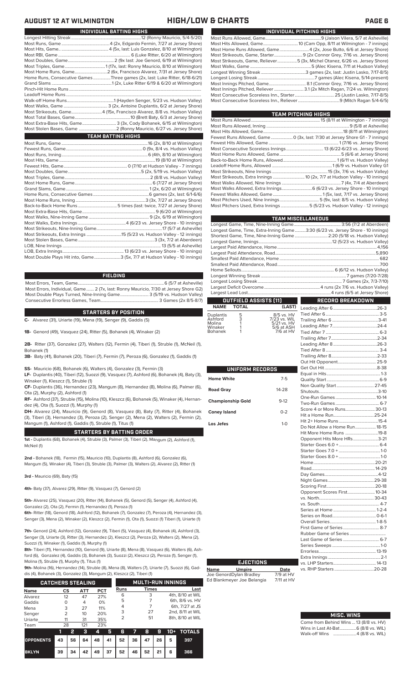| <b>INDIVIDUAL BATTING HIGHS</b>                                             |
|-----------------------------------------------------------------------------|
|                                                                             |
|                                                                             |
|                                                                             |
|                                                                             |
|                                                                             |
|                                                                             |
|                                                                             |
| Home Runs, Consecutive Games Three games (2x, last: Luke Ritter, 6/18-6/21) |
|                                                                             |
|                                                                             |
|                                                                             |
|                                                                             |
|                                                                             |
| Most Strikeouts, Game4 (15x, Francisco Alvarez, 8/8 vs. Hudson Valley)      |
|                                                                             |
| Most Extra-Base Hits, Game 3 (3x, Cody Bohanek, 6/15 at Wilmington)         |
|                                                                             |
|                                                                             |
| <b>TEAM BATTING HIGHS</b>                                                   |
|                                                                             |
|                                                                             |
|                                                                             |
|                                                                             |
|                                                                             |
|                                                                             |
|                                                                             |
|                                                                             |
|                                                                             |
|                                                                             |
|                                                                             |
|                                                                             |
|                                                                             |
|                                                                             |
|                                                                             |
|                                                                             |

| Most Double Plays Hit into, Game3 (5x, 7/7 at Hudson Valley - 10 innings)                                                                                     | Luiy<br>Large<br>Small<br>Small<br>Home |
|---------------------------------------------------------------------------------------------------------------------------------------------------------------|-----------------------------------------|
| <b>FIELDING</b>                                                                                                                                               | Long                                    |
| Most Errors, Individual, Game  2 (7x, last: Ronny Mauricio, 7/30 at Jersey Shore G2)<br>Most Double Plays Turned, Nine-Inning Game 3 (5/19 vs. Hudson Valley) | Long<br>Large<br>Large                  |

..<br>.. 13 (5/5 at Asheville)

Most Errors, Individua Most Double Plays Turned, Nine-Inning Game.......................... 3 (5/19 vs. Hudson Valley) Consecutive Errorless Games, Team.

Most Stolen Bases, Game......................................................................3 (3x, 7/2 at Aberdeen)

### **C-** Alvarez (31), Uriarte (19), Mena (19), Senger (9), Gaddis (5) **STARTERS BY POSITION**

**1B-** Genord (49), Vasquez (24), Ritter (5), Bohanek (4), Winaker (2)

**2B-** Ritter (37), Gonzalez (27), Walters (12), Fermin (4), Tiberi (1), Struble (1), McNeil (1), Bohanek (1)

**3B-** Baty (41), Bohanek (20), Tiberi (7), Fermin (7), Peroza (6), Gonzalez (1), Gaddis (1)

**SS-** Mauricio (68), Bohanek (6), Walters (4), Gonzalez (3), Fermin (3)

**LF-** Duplantis (40), Tiberi (12), Suozzi (9), Vasquez (7), Ashford (6), Bohanek (4), Baty (3), Winaker (1), Kleszcz (1), Struble (1)

**CF-** Duplantis (36), Hernandez (23), Mangum (8), Hernandez (8), Molina (6), Palmer (6), Ota (2), Murphy (2), Ashford (1)

**RF-** Ashford (37), Struble (15), Molina (10), Kleszcz (6), Bohanek (5), Winaker (4), Hernandez (4), Ota (1), Suozzi (1), Murphy (1)

**DH-** Alvarez (24), Mauricio (9), Genord (8), Vasquez (8), Baty (7), Ritter (4), Bohanek (3), Tiberi (3), Hernandez (3), Peroza (2), Senger (2), Mena (2), Walters (2), Fermin (2), Mangum (1), Ashford (1), Gaddis (1), Struble (1), Titus (1)

### **STARTERS BY BATTING ORDER**

**1st -** Duplantis (68), Bohanek (4), Struble (3), Palmer (3), Tiberi (2), Mangum (2), Ashford (1), McNeil (1)

**2nd -** Bohanek (18), Fermin (15), Mauricio (10), Duplantis (8), Ashford (6), Gonzalez (6), Mangum (5), Winaker (4), Tiberi (3), Struble (3), Palmer (3), Walters (2), Alvarez (2), Ritter (1)

**3rd -** Mauricio (69), Baty (15)

**4th-** Baty (37), Alvarez (29), Ritter (9), Vasquez (7), Genord (2)

**5th-** Alvarez (25), Vasquez (20), Ritter (14), Bohanek (5), Genord (5), Senger (4), Ashford (4), Gonzalez (2), Ota (2), Fermin (1), Hernandez (1), Peroza (1)

**6th-** Ritter (18), Genord (18), Ashford (12), Bohanek (7), Gonzalez (7), Peroza (4), Hernandez (3), Senger (3), Mena (2), Winaker (2), Kleszcz (2), Fermin (1), Ota (1), Suozzi (1) Tiberi (1), Uriarte (1)

**7th-** Genord (24), Ashford (12), Gonzalez (9), Tiberi (5), Vasquez (4), Bohanek (4), Ashford (3), Senger (3), Uriarte (3), Ritter (3), Hernandez (2), Kleszcz (2), Peroza (2), Walters (2), Mena (2), Suozzi (1), Winaker (1), Gaddis (1), Murphy (1)

**8th-** Tiberi (11), Hernandez (10), Genord (9), Uriarte (8), Mena (8), Vasquez (6), Walters (6), Ashford (6), Gonzalez (4), Gaddis (3), Bohanek (3), Suozzi (2), Kleszcz (2), Peroza (1), Senger (1), Molina (1), Struble (1), Murphy (1), Titus (1)

**9th-** Molina (16), Hernandez (14), Struble (8), Mena (8), Walters (7), Uriarte (7), Suozzi (6), Gad-

dis (4), Bohanek (3), Gonzalez (3), Mangum (2), Kleszcz (2), Tiberi (1)

|             | <b>CATCHERS STEALING</b> |            |            |      | <b>MULTI-RUN INNINGS</b> |                  |  |  |
|-------------|--------------------------|------------|------------|------|--------------------------|------------------|--|--|
| <b>Name</b> | CS                       | <b>ATT</b> | <b>PCT</b> | Runs | <b>Times</b>             | Last             |  |  |
| Alvarez     | 12                       | 47         | 27%        | 6    | 3                        | 4th, 8/10 at WIL |  |  |
| Gaddis      | Ο                        | 4          | 0%         | 5    |                          | 6th, 8/6 vs. HV  |  |  |
| Mena        | 3                        | 27         | 11%        | 4    |                          | 6th, 7/27 at JS  |  |  |
| Senger      | 2                        | 10         | 20%        | 3    | 27                       | 2nd, 8/11 at WIL |  |  |
| Uriarte     | 11                       | 31         | 35%        | っ    | 51                       | 8th, 8/10 at WIL |  |  |
| Team        | 28                       | 121        | 23%        |      |                          |                  |  |  |

|                                        |    | -31 | 45 |                                           |  | 6 7 8 9 10 + TOTALS |
|----------------------------------------|----|-----|----|-------------------------------------------|--|---------------------|
| OPPONENTS 43 56 64 48 41 52 36 47 26 5 |    |     |    |                                           |  | 397                 |
| <b>BKLYN</b>                           | 39 |     |    | 34   42   49   37   52   46   52   21   6 |  | 366                 |

### **AUGUST 12 AT WILMINGTON HIGH/LOW & CHARTS PAGE 6**

| INDIVIDUAL PITCHING HIGHS                                                   |  |  |  |  |  |  |  |
|-----------------------------------------------------------------------------|--|--|--|--|--|--|--|
|                                                                             |  |  |  |  |  |  |  |
|                                                                             |  |  |  |  |  |  |  |
| Most Home Runs Allowed, Game4 (2x, Jose Butto, 6/6 at Jersey Shore)         |  |  |  |  |  |  |  |
|                                                                             |  |  |  |  |  |  |  |
| Most Strikeouts, Game, Reliever5 (3x, Michel Otanez, 6/26 vs. Jersey Shore) |  |  |  |  |  |  |  |
|                                                                             |  |  |  |  |  |  |  |
|                                                                             |  |  |  |  |  |  |  |
|                                                                             |  |  |  |  |  |  |  |
|                                                                             |  |  |  |  |  |  |  |
|                                                                             |  |  |  |  |  |  |  |
|                                                                             |  |  |  |  |  |  |  |
|                                                                             |  |  |  |  |  |  |  |

**TEAM PITCHING HIGHS**

| Fewest Runs Allowed, Game  0 (3x, last: 7/30 at Jersey Shore G1 - 7 innings) |
|------------------------------------------------------------------------------|
|                                                                              |
|                                                                              |
|                                                                              |
|                                                                              |
|                                                                              |
|                                                                              |
| Most Strikeouts, Extra Innings  10 (2x, 7/7 at Hudson Valley - 10 innings)   |
|                                                                              |
|                                                                              |
|                                                                              |
|                                                                              |
| Most Pitchers Used, Extra Innings 5 (5/23 vs. Hudson Valley - 12 innings)    |
|                                                                              |

|                                                                                | <b>TEAM MISCELLANEOUS</b> |
|--------------------------------------------------------------------------------|---------------------------|
|                                                                                |                           |
| Longest Game, Time, Extra-Inning Game3:30 (6/23 vs. Jersey Shore - 10 innings) |                           |
| Shortest Game, Time, Nine-Inning Game  2:20 (5/18 vs. Hudson Valley)           |                           |
|                                                                                |                           |
|                                                                                |                           |
|                                                                                |                           |
|                                                                                |                           |
|                                                                                |                           |
|                                                                                |                           |
|                                                                                |                           |
|                                                                                |                           |
|                                                                                |                           |
|                                                                                |                           |
| <b>OUTFIELD ASSISTS [11]</b>                                                   | RECORD BREAKDOWN          |

## **NAME TOTAL (LAST)**

|  | Duplantis<br>Ashford<br>Molina<br>Winaker<br><b>Bohanek</b> | 5<br>3 | 8/5 vs. HV<br>7/23 vs. WIL<br>5/21 vs. HV<br>5/6 at ASH<br>$7/6$ at HV |
|--|-------------------------------------------------------------|--------|------------------------------------------------------------------------|
|--|-------------------------------------------------------------|--------|------------------------------------------------------------------------|

| UNIFORM RECORDS          |           |  |
|--------------------------|-----------|--|
| <b>Home White</b>        | $7 - 5$   |  |
| <b>Road Gray</b>         | $14 - 28$ |  |
| <b>Championship Gold</b> | $9-12$    |  |
| <b>Coney Island</b>      | $0 - 2$   |  |
| Los Jefes                | $1 - 0$   |  |
|                          |           |  |
|                          |           |  |
|                          |           |  |
|                          |           |  |
|                          |           |  |
|                          |           |  |
|                          |           |  |
|                          |           |  |
|                          |           |  |
|                          |           |  |
|                          |           |  |

**Name Umpire Date** Joe GenordDylan Bradley 7/9 at HV Ed Blankmeyer Joe Belangia 7/11 at HV

**EJECTIONS**

| Non Quality Start 27-45       |  |
|-------------------------------|--|
|                               |  |
|                               |  |
|                               |  |
| Score 4 or More Runs 30-13    |  |
|                               |  |
|                               |  |
| Do Not Allow a Home Run 18-15 |  |
| Hit More Home Runs 19-8       |  |
|                               |  |
| Opponent Hits More HRs3-21    |  |
|                               |  |
|                               |  |
|                               |  |
|                               |  |
|                               |  |
|                               |  |
|                               |  |
|                               |  |
| Opponent Scores First 10-34   |  |
|                               |  |
|                               |  |
|                               |  |
|                               |  |
|                               |  |
|                               |  |
|                               |  |
| Last Game of Series  6-7      |  |
|                               |  |
|                               |  |
|                               |  |
|                               |  |
|                               |  |

# **MISC. WINS**

| Come from Behind Wins  13 (8/8 vs. HV) |                 |
|----------------------------------------|-----------------|
| Wins in Last At-Bat 6 (8/8 vs. WIL)    |                 |
| Walk-off Wins                          | 4 (8/8 vs. WIL) |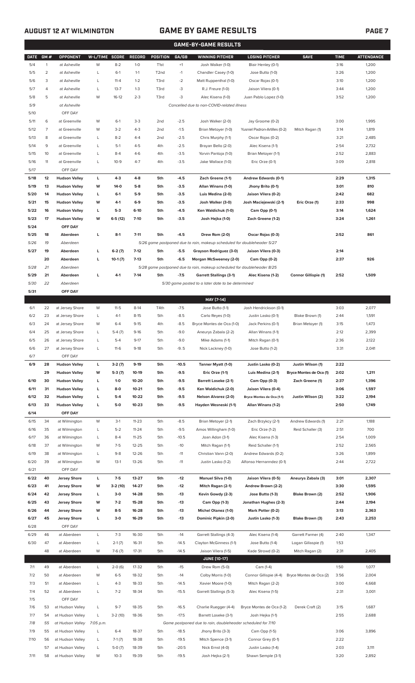### **AUGUST 12 AT WILMINGTON GAME BY GAME RESULTS PAGE 7**

|             | <b>GAME-BY-GAME RESULTS</b> |                            |                |           |               |                   |         |                                                                         |                               |                         |             |                   |
|-------------|-----------------------------|----------------------------|----------------|-----------|---------------|-------------------|---------|-------------------------------------------------------------------------|-------------------------------|-------------------------|-------------|-------------------|
| <b>DATE</b> | GM#                         | <b>OPPONENT</b>            | W-L/TIME SCORE |           | <b>RECORD</b> | <b>POSITION</b>   | GA/GB   | <b>WINNING PITCHER</b>                                                  | <b>LOSING PITCHER</b>         | <b>SAVE</b>             | <b>TIME</b> | <b>ATTENDANCE</b> |
| 5/4         | $\mathbf{1}$                | at Asheville               | W              | $8 - 2$   | $1 - 0$       | T <sub>1st</sub>  | $+1$    | Josh Walker (1-0)                                                       | Blair Henley (0-1)            |                         | 3:16        | 1,200             |
| 5/5         | $\overline{2}$              | at Asheville               | L              | $6-1$     | $1 - 1$       | T <sub>2</sub> nd | $-1$    | Chandler Casey (1-0)                                                    | Jose Butto (1-0)              |                         | 3:26        | 1,200             |
| 5/6         | 3                           | at Asheville               | Г              | $11 - 4$  | $1 - 2$       | T3rd              | $-2$    | Matt Ruppenthal (1-0)                                                   | Oscar Rojas (0-1)             |                         | 3:10        | 1,200             |
| 5/7         | 4                           | at Asheville               | L              | $13 - 7$  | $1 - 3$       | T3rd              | -3      | R.J. Freure (1-0)                                                       | Jaison Vilera (0-1)           |                         | 3:44        | 1,200             |
| 5/8         | 5                           | at Asheville               | W              | $16-12$   | $2 - 3$       | T3rd              | $-3$    | Alec Kisena (1-0)                                                       | Juan Pablo Lopez (1-0)        |                         | 3:52        | 1,200             |
| 5/9         |                             | at Asheville               |                |           |               |                   |         | Cancelled due to non-COVID-related illness                              |                               |                         |             |                   |
| 5/10        |                             | OFF DAY                    |                |           |               |                   |         |                                                                         |                               |                         |             |                   |
| 5/11        | 6                           | at Greenville              | W              | $6-1$     | $3-3$         | 2 <sub>nd</sub>   | $-2.5$  | Josh Walker (2-0)                                                       | Jay Groome (0-2)              |                         | 3:00        | 1,995             |
| 5/12        | 7                           | at Greenville              | W              | $3-2$     | $4 - 3$       | 2 <sub>nd</sub>   | $-1.5$  | Brian Metoyer (1-0)                                                     | Yusniel Padron-Artilles (0-2) | Mitch Ragan (1)         | 3:14        | 1,819             |
| 5/13        | 8                           | at Greenville              | L              | $8 - 2$   | $4 - 4$       | 2 <sub>nd</sub>   | $-2.5$  | Chris Murphy (1-1)                                                      | Oscar Rojas (0-2)             |                         | 3:21        | 2,485             |
| 5/14        | 9                           | at Greenville              | Г              | $5-1$     | $4 - 5$       | 4th               | $-2.5$  | Brayan Bello (2-0)                                                      | Alec Kisena (1-1)             |                         | 2:54        | 2,732             |
| 5/15        | 10                          |                            | L              | $8 - 4$   | $4-6$         | 4th               | $-3.5$  |                                                                         |                               |                         | 2:52        | 2,883             |
|             |                             | at Greenville              |                |           |               |                   |         | Yorvin Pantoja (1-0)                                                    | Brian Metoyer (1-1)           |                         |             |                   |
| 5/16        | 11                          | at Greenville              | L              | $10-9$    | $4 - 7$       | 4th               | $-3.5$  | Jake Wallace (1-0)                                                      | Eric Orze (0-1)               |                         | 3:09        | 2,818             |
| 5/17        |                             | OFF DAY                    |                |           |               |                   |         |                                                                         |                               |                         |             |                   |
| 5/18        | 12                          | <b>Hudson Valley</b>       | г              | $4-3$     | $4 - 8$       | 5th               | $-4.5$  | Zach Greene (1-1)                                                       | Andrew Edwards (0-1)          |                         | 2:29        | 1,315             |
| 5/19        | 13                          | <b>Hudson Valley</b>       | w              | $14-0$    | $5-8$         | 5th               | $-3.5$  | Allan Winans (1-0)                                                      | Jhony Brito (0-1)             |                         | 3:01        | 810               |
| 5/20        | 14                          | <b>Hudson Valley</b>       | L              | $6-1$     | $5-9$         | 5th               | $-3.5$  | Luis Medina (2-0)                                                       | Jaison Vilera (0-2)           |                         | 2:42        | 682               |
| 5/21        | 15                          | <b>Hudson Valley</b>       | W              | $4-1$     | $6-9$         | 5th               | $-3.5$  | Josh Walker (3-0)                                                       | Josh Maciejewski (2-1)        | Eric Orze (1)           | 2:33        | 998               |
| 5/22        | 16                          | <b>Hudson Valley</b>       | L              | $5-3$     | $6-10$        | 5th               | $-4.5$  | Ken Waldichuk (1-0)                                                     | Cam Opp (0-1)                 |                         | 3:14        | 1,624             |
| 5/23        | 17                          | <b>Hudson Valley</b>       | w              | $6-5(12)$ | $7-10$        | 5th               | $-3.5$  | Josh Hejka (1-0)                                                        | Zach Greene (1-2)             |                         | 3:24        | 1,261             |
| 5/24        |                             | OFF DAY                    |                |           |               |                   |         |                                                                         |                               |                         |             |                   |
| 5/25        | 18                          | Aberdeen                   | г              | $8-1$     | $7 - 11$      | 5th               | $-4.5$  | Drew Rom (2-0)                                                          | Oscar Rojas (0-3)             |                         | 2:52        | 861               |
| 5/26        | 19                          | Aberdeen                   |                |           |               |                   |         | 5/26 game postponed due to rain, makeup scheduled for doubleheader 5/27 |                               |                         |             |                   |
| 5/27        | 19                          | Aberdeen                   | г              | $6-2(7)$  | $7-12$        | 5th               | $-5.5$  | Grayson Rodriguez (3-0)                                                 | Jaison Vilera (0-3)           |                         | 2:14        |                   |
|             | 20                          | Aberdeen                   | г              | $10-1(7)$ | $7-13$        | 5th               | $-6.5$  | Morgan McSweeney (2-0)                                                  | Cam Opp (0-2)                 |                         | 2:37        | 926               |
| 5/28        | 21                          | Aberdeen                   |                |           |               |                   |         | 5/28 game postponed due to rain, makeup scheduled for doubleheader 8/25 |                               |                         |             |                   |
| 5/29        | 21                          | Aberdeen                   | г              | $4-1$     | $7-14$        | 5th               | $-7.5$  | <b>Garrett Stallings (3-1)</b>                                          | Alec Kisena (1-2)             | Connor Gillispie (1)    | 2:52        | 1,509             |
| 5/30        | 22                          | Aberdeen                   |                |           |               |                   |         | 5/30 game posted to a later date to be determined                       |                               |                         |             |                   |
| 5/31        |                             | OFF DAY                    |                |           |               |                   |         |                                                                         |                               |                         |             |                   |
|             |                             |                            |                |           |               |                   |         | MAY [7-14]                                                              |                               |                         |             |                   |
| 6/1         | 22                          | at Jersey Shore            | W              | $11-5$    | $8-14$        | T4th              | $-7.5$  | Jose Butto (1-1)                                                        | Josh Hendrickson (0-1)        |                         | 3:03        | 2,077             |
| 6/2         | 23                          | at Jersey Shore            | L              | $4-1$     | $8 - 15$      | 5th               | $-8.5$  | Carlo Reyes (1-0)                                                       | Justin Lasko (0-1)            | Blake Brown (1)         | 2:44        | 1,591             |
| 6/3         | 24                          | at Jersey Shore            | W              | $6 - 4$   | $9 - 15$      | 4th               | $-8.5$  | Bryce Montes de Oca (1-0)                                               | Jack Perkins (0-1)            | Brian Metoyer (1)       | 3:15        | 1,473             |
| 6/4         | 25                          | at Jersey Shore            | Г              | $5-4(7)$  | $9 - 16$      | 5th               | $-9.0$  | Aneurys Zabala (2-2)                                                    | Allan Winans (1-1)            |                         | 2:12        | 2,399             |
| 6/5         | 26                          | at Jersey Shore            | Г              | $5 - 4$   | $9 - 17$      | 5th               | $-9.0$  | Mike Adams (1-1)                                                        | Mitch Ragan (0-1)             |                         | 2:36        | 2,122             |
| 6/6         | 27                          | at Jersey Shore            | L              | $11-6$    | $9-18$        | 5th               | $-9.5$  | Nick Lackney (1-0)                                                      | Jose Butto (1-2)              |                         | 3:31        | 2,041             |
| 6/7         |                             | OFF DAY                    |                |           |               |                   |         |                                                                         |                               |                         |             |                   |
| 6/9         | 28                          | <b>Hudson Valley</b>       | г              | $3-2(7)$  | $9-19$        | 5th               | $-10.5$ | Tanner Myatt (1-0)                                                      | Justin Lasko (0-2)            | Justin Wilson (1)       | 2:22        |                   |
|             | 29                          | <b>Hudson Valley</b>       | W              | $5-3(7)$  | 10-19         | 5th               | $-9.5$  | Eric Orze (1-1)                                                         | Luis Medina (2-1)             | Bryce Montes de Oca (1) | 2:02        | 1,211             |
| 6/10        | 30                          | <b>Hudson Valley</b>       | L              | $1-0$     | 10-20         | 5th               | $-9.5$  | <b>Barrett Loseke (2-1)</b>                                             | Cam Opp (0-3)                 | Zach Greene (1)         | 2:37        | 1,396             |
| 6/11        | 31                          | <b>Hudson Valley</b>       | г              | 8-0       | $10 - 21$     | 5th               | $-9.5$  | Ken Waldichuk (2-0)                                                     | Jaison Vilera (0-4)           |                         | 3:06        | 1,597             |
| 6/12        | 32                          | <b>Hudson Valley</b>       | L              | $5-4$     | 10-22         | 5th               | $-9.5$  | Nelson Alvarez (2-0)                                                    | Bryce Montes de Oca (1-1)     | Justin Wilson (2)       | 3:22        | 2,194             |
| 6/13        | 33                          | <b>Hudson Valley</b>       | г              | $5-0$     | $10 - 23$     | 5th               | $-9.5$  | Hayden Wesneski (1-1)                                                   | Allan Winans (1-2)            |                         | 2:50        | 1,749             |
| 6/14        |                             | OFF DAY                    |                |           |               |                   |         |                                                                         |                               |                         |             |                   |
| 6/15        | 34                          |                            | W              | $3-1$     | $11 - 23$     | 5th               | $-8.5$  |                                                                         |                               | Andrew Edwards (1)      | 2:21        | 1,188             |
|             | 35                          | at Wilmington              |                | $5 - 2$   | $11 - 24$     |                   | $-9.5$  | Brian Metoyer (2-1)                                                     | Zach Brzykcy (2-1)            |                         | 2:51        | 700               |
| 6/16        |                             | at Wilmington              | L              |           |               | 5th               |         | Amos Willingham (1-0)                                                   | Eric Orze (1-2)               | Reid Schaller (3)       |             |                   |
| 6/17        | 36                          | at Wilmington              | L              | $8 - 4$   | $11 - 25$     | 5th               | $-10.5$ | Joan Adon (3-1)                                                         | Alec Kisena (1-3)             |                         | 2:54        | 1,009             |
| 6/18        | 37                          | at Wilmington              | W              | $7-5$     | $12 - 25$     | 5th               | $-10$   | Mitch Ragan (1-1)                                                       | Reid Schaller (1-1)           |                         | 2:52        | 2,565             |
| 6/19        | 38                          | at Wilmington              | L              | $9 - 8$   | $12 - 26$     | 5th               | $-11$   | Christian Vann (2-0)                                                    | Andrew Edwards (0-2)          |                         | 3:26        | 1,899             |
| 6/20        | 39                          | at Wilmington              | W              | $13-1$    | 13-26         | 5th               | $-11$   | Justin Lasko (1-2)                                                      | Alfonso Hernanndez (0-1)      |                         | 2:44        | 2,722             |
| 6/21        |                             | OFF DAY                    |                |           |               |                   |         |                                                                         |                               |                         |             |                   |
| 6/22        | 40                          | <b>Jersey Shore</b>        | L              | $7-5$     | 13-27         | 5th               | $-12$   | <b>Manuel Silva (1-0)</b>                                               | Jaison Vilera (0-5)           | Aneurys Zabala (3)      | 3:01        | 2,307             |
| 6/23        | 41                          | <b>Jersey Shore</b>        | W              | $3-2(10)$ | 14-27         | 5th               | $-12$   | Mitch Ragan (2-1)                                                       | Andrew Brown (2-2)            |                         | 3:30        | 1,595             |
| 6/24        | 42                          | <b>Jersey Shore</b>        | L              | $3-0$     | 14-28         | 5th               | $-13$   | Kevin Gowdy (2-3)                                                       | Jose Butto (1-3)              | Blake Brown (2)         | 2:52        | 1,906             |
| 6/25        | 43                          | <b>Jersey Shore</b>        | W              | $7-2$     | 15-28         | 5th               | $-13$   | Cam Opp (1-3)                                                           | Jonathan Hughes (2-3)         |                         | 2:44        | 2,194             |
| 6/26        | 44                          | <b>Jersey Shore</b>        | W              | $8-5$     | 16-28         | 5th               | $-13$   | Michel Otanez (1-0)                                                     | Mark Potter (0-2)             |                         | 3:13        | 2,363             |
| 6/27        | 45                          | <b>Jersey Shore</b>        | L              | $3-0$     | 16-29         | 5th               | $-13$   | Dominic Pipkin (2-0)                                                    | Justin Lasko (1-3)            | Blake Brown (3)         | 2:43        | 2,253             |
| 6/28        |                             | OFF DAY                    |                |           |               |                   |         |                                                                         |                               |                         |             |                   |
| 6/29        | 46                          | at Aberdeen                | L              | $7 - 3$   | 16-30         | 5th               | $-14$   | Garrett Stallings (4-3)                                                 | Alec Kisena (1-4)             | Garrett Farmer (4)      | 2:40        | 1,347             |
| 6/30        | 47                          | at Aberdeen                | L              | $2-1(7)$  | 16-31         | 5th               | $-14.5$ | Clayton McGinness (1-1)                                                 | Jose Butto (1-4)              | Logan Gillaspie (1)     | 1:53        |                   |
|             | 48                          | at Aberdeen                | W              | $7-6(7)$  | $17 - 31$     | 5th               | $-14.5$ | Jaison Vilera (1-5)                                                     | Kade Strowd (0-2)             | Mitch Ragan (2)         | 2:31        | 2,405             |
|             |                             |                            |                |           |               |                   |         | <b>JUNE (10-17)</b>                                                     |                               |                         |             |                   |
| 7/1         | 49                          | at Aberdeen                | L              | $2-0(6)$  | 17-32         | 5th               | $-15$   | Drew Rom (5-0)                                                          | Cam (1-4)                     |                         | 1:50        | 1,077             |
| 7/2         | 50                          | at Aberdeen                | W              | $6 - 5$   | 18-32         | 5th               | $-14$   | Colby Morris (1-0)                                                      | Connor Gillispie (4-4)        | Bryce Montes de Oca (2) | 3:56        | 2,004             |
| 7/3         | 51                          | at Aberdeen                | L              | $4 - 3$   | 18-33         | 5th               | $-14.5$ | Xavier Moore (1-0)                                                      | Mitch Ragan (2-2)             |                         | 3:00        | 4,668             |
| 7/4         | 52                          | at Aberdeen                | L              | $7 - 2$   | 18-34         | 5th               | $-15.5$ | Garrett Stallings (5-3)                                                 | Alec Kisena (1-5)             |                         | 2:31        | 3,001             |
| 7/5         |                             | OFF DAY                    |                |           |               |                   |         |                                                                         |                               |                         |             |                   |
| 7/6         | 53                          | at Hudson Valley           | L              | $9 - 7$   | 18-35         | 5th               | $-16.5$ |                                                                         |                               |                         | 3:15        | 1,687             |
|             |                             |                            |                |           |               |                   |         | Charlie Ruegger (4-4)                                                   | Bryce Montes de Oca (1-2)     | Derek Craft (2)         |             |                   |
| 7/7         | 54                          | at Hudson Valley           | L              | $3-2(10)$ | 18-36         | 5th               | $-17.5$ | Barrett Loseke (3-1)                                                    | Josh Hejka (1-1)              |                         | 2:55        | 2,688             |
| 7/8         | 55                          | at Hudson Valley 7:05 p.m. |                |           |               |                   |         | Game postponed due to rain, doubleheader scheduled for 7/10             |                               |                         |             |                   |
| 7/9         | 55                          | at Hudson Valley           | L              | $6 - 4$   | 18-37         | 5th               | $-18.5$ | Jhony Brito (3-3)                                                       | Cam Opp (1-5)                 |                         | 3:06        | 3,896             |
| 7/10        | 56                          | at Hudson Valley           | L              | $7-1(7)$  | 18-38         | 5th               | $-19.5$ | Mitch Spence (3-1)                                                      | Connor Grey (0-1)             |                         | 2:22        |                   |
|             | 57                          | at Hudson Valley           | L              | $5-0(7)$  | 18-39         | 5th               | $-20.5$ | Nick Ernst (4-0)                                                        | Justin Lasko (1-4)            |                         | 2:03        | 3,111             |
| 7/11        | 58                          | at Hudson Valley           | W              | $10-3$    | 19-39         | 5th               | $-19.5$ | Josh Hejka (2-1)                                                        | Shawn Semple (3-1)            |                         | 3:20        | 2,892             |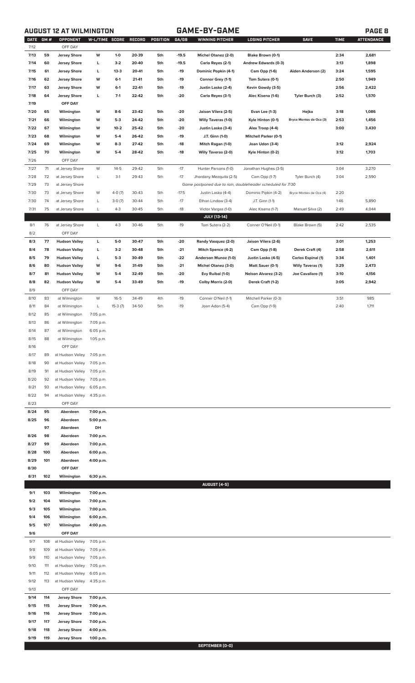**AUGUST 12 AT WILMINGTON GAME-BY-GAME PAGE 8**

| DATE GM # |     | OPPONENT             | W-L/TIME SCORE |           | RECORD | POSITION | GA/GB   | WINNING PITCHER                                             | LOSING PITCHER               | <b>SAVE</b>              | <b>TIME</b> | <b>ATTENDANCE</b> |
|-----------|-----|----------------------|----------------|-----------|--------|----------|---------|-------------------------------------------------------------|------------------------------|--------------------------|-------------|-------------------|
| 7/12      |     | OFF DAY              |                |           |        |          |         |                                                             |                              |                          |             |                   |
| 7/13      | 59  | <b>Jersey Shore</b>  | w              | $1 - 0$   | 20-39  | 5th      | $-19.5$ | <b>Michel Otanez (2-0)</b>                                  | Blake Brown (0-1)            |                          | 2:34        | 2,681             |
| 7/14      | 60  | <b>Jersey Shore</b>  | г              | $3-2$     | 20-40  | 5th      | $-19.5$ | Carlo Reyes (2-1)                                           | Andrew Edwards (0-3)         |                          | 3:13        | 1,898             |
| 7/15      | 61  | <b>Jersey Shore</b>  | L              | $13-3$    | 20-41  | 5th      | $-19$   | Dominic Popkin (4-1)                                        | Cam Opp (1-6)                | Aiden Anderson (2)       | 3:24        | 1,595             |
| 7/16      | 62  | <b>Jersey Shore</b>  | W              | $6-1$     | 21-41  | 5th      | $-19$   | Connor Grey (1-1)                                           | Tom Sutera (0-1)             |                          | 2:50        | 1,949             |
| 7/17      | 63  | <b>Jersey Shore</b>  | W              | $6-1$     | 22-41  | 5th      | $-19$   | Justin Lasko (2-4)                                          | Kevin Gowdy (3-5)            |                          | 2:56        | 2,422             |
| 7/18      | 64  | <b>Jersey Shore</b>  | L              | $7-1$     | 22-42  | 5th      | $-20$   | Carlo Reyes (3-1)                                           | Alec Kisena (1-6)            | Tyler Burch (3)          | 2:52        | 1,570             |
| 7/19      |     | OFF DAY              |                |           |        |          |         |                                                             |                              |                          |             |                   |
| 7/20      | 65  | Wilmington           | W              | $8-6$     | 23-42  | 5th      | -20     | Jaison Vilera (2-5)                                         | <b>Evan Lee (1-3)</b>        | Hejka                    | 3:18        | 1,086             |
| 7/21      | 66  | Wilmington           | W              | $5-3$     | 24-42  | 5th      | $-20$   | <b>Willy Taveras (1-0)</b>                                  | Kyle Hinton (0-1)            | Bryce Montes de Oca (3)  | 2:53        | 1,456             |
| 7/22      | 67  | Wilmington           | W              | $10-2$    | 25-42  | 5th      | $-20$   | Justin Lasko (3-4)                                          | Alex Troop (4-4)             |                          | 3:00        | 3,430             |
| 7/23      | 68  | Wilmington           | W              | $5-4$     | 26-42  | 5th      | $-19$   | J.T. Ginn (1-0)                                             | <b>Mitchell Parker (0-1)</b> |                          |             |                   |
| 7/24      | 69  | Wilmington           | W              | $8-3$     | 27-42  | 5th      | $-18$   | Mitch Ragan (1-0)                                           | Joan Udon (3-4)              |                          | 3:12        | 2,924             |
| 7/25      | 70  | Wilmington           | W              | $5-4$     | 28-42  | 5th      | $-18$   | <b>Willy Taveras (2-0)</b>                                  | Kyle Hinton (0-2)            |                          | 3:12        | 1,703             |
| 7/26      |     | OFF DAY              |                |           |        |          |         |                                                             |                              |                          |             |                   |
| 7/27      | 71  | at Jersey Shore      | W              | $14 - 5$  | 29-42  | 5th      | $-17$   | Hunter Parsons (1-0)                                        | Jonathan Hughes (3-5)        |                          | 3:04        | 3,270             |
| 7/28      | 72  | at Jersey Shore      | L              | $3-1$     | 29-43  | 5th      | $-17$   | Jhordany Mezquita (2-5)                                     | Cam Opp (1-7)                | Tyler Burch (4)          | 3:04        | 2,590             |
| 7/29      | 73  | at Jersey Shore      |                |           |        |          |         | Game postponed due to rain, doubleheader scheduled for 7/30 |                              |                          |             |                   |
| 7/30      | 73  | at Jersey Shore      | W              | 4-0 (7)   | 30-43  | 5th      | $-17.5$ | Justin Lasko (4-4)                                          | Dominic Pipkin (4-2)         | Bryce Montes de Oca (4)  | 2:20        |                   |
| 7/30      | 74  | at Jersey Shore      | L              | $3-0(7)$  | 30-44  | 5th      | $-17$   | Ethan Lindow (3-4)                                          | J.T. Ginn (1-1)              |                          | 1:46        | 5,890             |
| 7/31      | 75  | at Jersey Shore      | L              | $4 - 3$   | 30-45  | 5th      | $-18$   | Victor Vargas (1-0)                                         | Alec Kisena (1-7)            | Manuel Silva (2)         | 2:49        | 4,044             |
|           |     |                      |                |           |        |          |         | <b>JULY [13-14]</b>                                         |                              |                          |             |                   |
| 8/1       | 76  | at Jersey Shore      | L              | $4 - 3$   | 30-46  | 5th      | $-19$   | Tom Sutera (2-2)                                            | Conner O'Neil (0-1)          | Blake Brown (5)          | 2:42        | 2,535             |
| 8/2       |     | OFF DAY              |                |           |        |          |         |                                                             |                              |                          |             |                   |
| 8/3       | 77  | <b>Hudson Valley</b> | L              | 5-0       | 30-47  | 5th      | $-20$   | Randy Vasquez (2-0)                                         | Jaison Vilera (2-6)          |                          | 3:01        | 1,253             |
| 8/4       | 78  | <b>Hudson Valley</b> | г              | $3-2$     | 30-48  | 5th      | $-21$   | Mitch Spence (4-2)                                          | Cam Opp (1-8)                | Derek Craft (4)          | 2:58        | 2,611             |
| 8/5       | 79  | <b>Hudson Valley</b> | г              | $5-3$     | 30-49  | 5th      | $-22$   | Anderson Munoz (1-0)                                        | Justin Lasko (4-5)           | Carlos Espinal (1)       | 3:34        | 1,401             |
| 8/6       | 80  | <b>Hudson Valley</b> | W              | $9-6$     | 31-49  | 5th      | $-21$   | <b>Michel Otanez (3-0)</b>                                  | Matt Sauer (0-1)             | <b>Willy Taveras (1)</b> | 3:29        | 2,473             |
| 8/7       | 81  | <b>Hudson Valley</b> | W              | $5 - 4$   | 32-49  | 5th      | $-20$   | Evy Ruibal (1-0)                                            | <b>Nelson Alvarez (3-2)</b>  | Joe Cavallaro (1)        | 3:10        | 4,156             |
| 8/8       | 82  | <b>Hudson Valley</b> | W              | $5-4$     | 33-49  | 5th      | $-19$   | Colby Morris (2-0)                                          | Derek Craft (1-2)            |                          | 3:05        | 2,942             |
| 8/9       |     | OFF DAY              |                |           |        |          |         |                                                             |                              |                          |             |                   |
| 8/10      | 83  | at Wilmington        | W              | $16 - 5$  | 34-49  | 4th      | $-19$   | Conner O'Neil (1-1)                                         | Mitchell Parker (0-3)        |                          | 3:51        | 985               |
| 8/11      | 84  | at Wilmington        | L              | $15-3(7)$ | 34-50  | 5th      | $-19$   | Joan Adon (5-4)                                             | Cam Opp (1-9)                |                          | 2:40        | 1,711             |
| 8/12      | 85  | at Wilmington        | 7:05 p.m.      |           |        |          |         |                                                             |                              |                          |             |                   |
| 8/13      | 86  | at Wilmington        | 7:05 p.m.      |           |        |          |         |                                                             |                              |                          |             |                   |
| 8/14      | 87  | at Wilmington        | 6:05 p.m.      |           |        |          |         |                                                             |                              |                          |             |                   |
| 8/15      | 88  |                      | 1:05 p.m.      |           |        |          |         |                                                             |                              |                          |             |                   |
|           |     | at Wilmington        |                |           |        |          |         |                                                             |                              |                          |             |                   |
| 8/16      |     | OFF DAY              |                |           |        |          |         |                                                             |                              |                          |             |                   |
| 8/17      | 89  | at Hudson Valley     | 7:05 p.m.      |           |        |          |         |                                                             |                              |                          |             |                   |
| 8/18      | 90  | at Hudson Valley     | 7:05 p.m.      |           |        |          |         |                                                             |                              |                          |             |                   |
| 8/19      | 91  | at Hudson Valley     | 7:05 p.m.      |           |        |          |         |                                                             |                              |                          |             |                   |
| 8/20      | 92  | at Hudson Valley     | 7:05 p.m.      |           |        |          |         |                                                             |                              |                          |             |                   |
| 8/21      | 93  | at Hudson Valley     | 6:05 p.m.      |           |        |          |         |                                                             |                              |                          |             |                   |
| 8/22      | 94  | at Hudson Valley     | 4:35 p.m.      |           |        |          |         |                                                             |                              |                          |             |                   |
| 8/23      |     | OFF DAY              |                |           |        |          |         |                                                             |                              |                          |             |                   |
| 8/24      | 95  | Aberdeen             | 7:00 p.m.      |           |        |          |         |                                                             |                              |                          |             |                   |
| 8/25      | 96  | Aberdeen             | 5:00 p.m.      |           |        |          |         |                                                             |                              |                          |             |                   |
|           | 97  | Aberdeen             | DH             |           |        |          |         |                                                             |                              |                          |             |                   |
| 8/26      | 98  | Aberdeen             | 7:00 p.m.      |           |        |          |         |                                                             |                              |                          |             |                   |
| 8/27      | 99  | Aberdeen             | 7:00 p.m.      |           |        |          |         |                                                             |                              |                          |             |                   |
| 8/28      | 100 | Aberdeen             | 6:00 p.m.      |           |        |          |         |                                                             |                              |                          |             |                   |
| 8/29      | 101 | Aberdeen             | 4:00 p.m.      |           |        |          |         |                                                             |                              |                          |             |                   |
| 8/30      |     | OFF DAY              |                |           |        |          |         |                                                             |                              |                          |             |                   |
| 8/31      | 102 | Wilmington           | 6:30 p.m.      |           |        |          |         |                                                             |                              |                          |             |                   |
|           |     |                      |                |           |        |          |         | <b>AUGUST [4-5]</b>                                         |                              |                          |             |                   |
| 9/1       | 103 | Wilmington           | 7:00 p.m.      |           |        |          |         |                                                             |                              |                          |             |                   |
| 9/2       | 104 | Wilmington           | 7:00 p.m.      |           |        |          |         |                                                             |                              |                          |             |                   |
| 9/3       | 105 | Wilmington           | 7:00 p.m.      |           |        |          |         |                                                             |                              |                          |             |                   |
| 9/4       | 106 | Wilmington           | 6:00 p.m.      |           |        |          |         |                                                             |                              |                          |             |                   |
| 9/5       | 107 | Wilmington           | 4:00 p.m.      |           |        |          |         |                                                             |                              |                          |             |                   |
| 9/6       |     | OFF DAY              |                |           |        |          |         |                                                             |                              |                          |             |                   |
| 9/7       | 108 | at Hudson Valley     | 7:05 p.m.      |           |        |          |         |                                                             |                              |                          |             |                   |
| 9/8       | 109 | at Hudson Valley     | 7:05 p.m.      |           |        |          |         |                                                             |                              |                          |             |                   |
| 9/9       | 110 | at Hudson Valley     | 7:05 p.m.      |           |        |          |         |                                                             |                              |                          |             |                   |
| 9/10      | 111 | at Hudson Valley     | 7:05 p.m.      |           |        |          |         |                                                             |                              |                          |             |                   |
| 9/11      | 112 | at Hudson Valley     | 6:05 p.m.      |           |        |          |         |                                                             |                              |                          |             |                   |
| 9/12      | 113 | at Hudson Valley     | 4:35 p.m.      |           |        |          |         |                                                             |                              |                          |             |                   |
| 9/13      |     | OFF DAY              |                |           |        |          |         |                                                             |                              |                          |             |                   |
| 9/14      | 114 | <b>Jersey Shore</b>  | 7:00 p.m.      |           |        |          |         |                                                             |                              |                          |             |                   |
| 9/15      | 115 | <b>Jersey Shore</b>  | 7:00 p.m.      |           |        |          |         |                                                             |                              |                          |             |                   |
| 9/16      | 116 | <b>Jersey Shore</b>  | 7:00 p.m.      |           |        |          |         |                                                             |                              |                          |             |                   |
| 9/17      | 117 | <b>Jersey Shore</b>  | 7:00 p.m.      |           |        |          |         |                                                             |                              |                          |             |                   |
| 9/18      | 118 | <b>Jersey Shore</b>  | 4:00 p.m.      |           |        |          |         |                                                             |                              |                          |             |                   |
| 9/19      | 119 | <b>Jersey Shore</b>  | 1:00 p.m.      |           |        |          |         |                                                             |                              |                          |             |                   |
|           |     |                      |                |           |        |          |         | SEPTEMBER [0-0]                                             |                              |                          |             |                   |